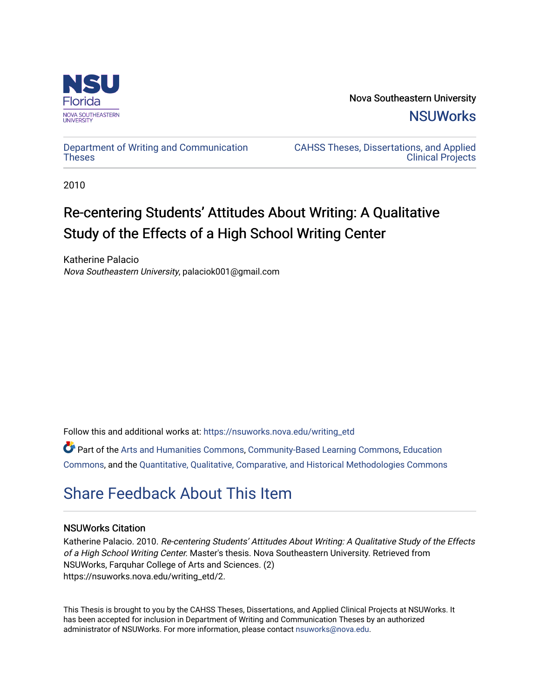

Nova Southeastern University **NSUWorks** 

## [Department of Writing and Communication](https://nsuworks.nova.edu/writing_etd)  **Theses**

[CAHSS Theses, Dissertations, and Applied](https://nsuworks.nova.edu/cahss_etd)  [Clinical Projects](https://nsuworks.nova.edu/cahss_etd) 

2010

# Re-centering Students' Attitudes About Writing: A Qualitative Study of the Effects of a High School Writing Center

Katherine Palacio Nova Southeastern University, palaciok001@gmail.com

Follow this and additional works at: [https://nsuworks.nova.edu/writing\\_etd](https://nsuworks.nova.edu/writing_etd?utm_source=nsuworks.nova.edu%2Fwriting_etd%2F2&utm_medium=PDF&utm_campaign=PDFCoverPages)

Part of the [Arts and Humanities Commons,](http://network.bepress.com/hgg/discipline/438?utm_source=nsuworks.nova.edu%2Fwriting_etd%2F2&utm_medium=PDF&utm_campaign=PDFCoverPages) [Community-Based Learning Commons,](http://network.bepress.com/hgg/discipline/1046?utm_source=nsuworks.nova.edu%2Fwriting_etd%2F2&utm_medium=PDF&utm_campaign=PDFCoverPages) [Education](http://network.bepress.com/hgg/discipline/784?utm_source=nsuworks.nova.edu%2Fwriting_etd%2F2&utm_medium=PDF&utm_campaign=PDFCoverPages) [Commons](http://network.bepress.com/hgg/discipline/784?utm_source=nsuworks.nova.edu%2Fwriting_etd%2F2&utm_medium=PDF&utm_campaign=PDFCoverPages), and the [Quantitative, Qualitative, Comparative, and Historical Methodologies Commons](http://network.bepress.com/hgg/discipline/423?utm_source=nsuworks.nova.edu%2Fwriting_etd%2F2&utm_medium=PDF&utm_campaign=PDFCoverPages) 

# [Share Feedback About This Item](http://nsuworks.nova.edu/user_survey.html)

# NSUWorks Citation

Katherine Palacio. 2010. Re-centering Students' Attitudes About Writing: A Qualitative Study of the Effects of a High School Writing Center. Master's thesis. Nova Southeastern University. Retrieved from NSUWorks, Farquhar College of Arts and Sciences. (2) https://nsuworks.nova.edu/writing\_etd/2.

This Thesis is brought to you by the CAHSS Theses, Dissertations, and Applied Clinical Projects at NSUWorks. It has been accepted for inclusion in Department of Writing and Communication Theses by an authorized administrator of NSUWorks. For more information, please contact [nsuworks@nova.edu.](mailto:nsuworks@nova.edu)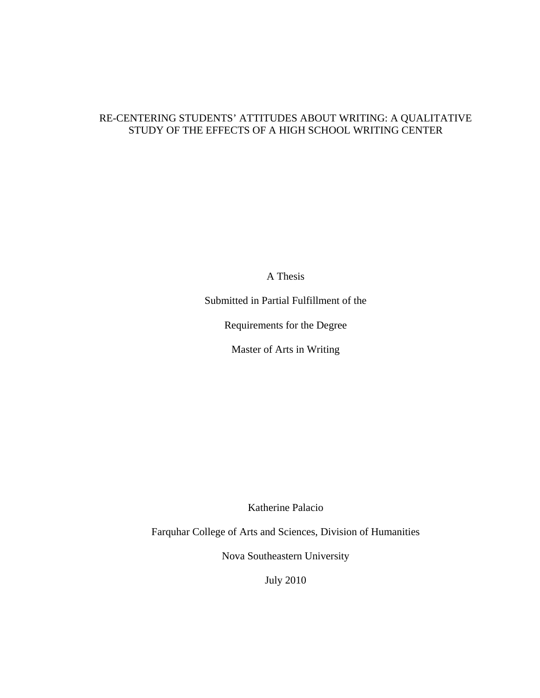# RE-CENTERING STUDENTS' ATTITUDES ABOUT WRITING: A QUALITATIVE STUDY OF THE EFFECTS OF A HIGH SCHOOL WRITING CENTER

A Thesis

Submitted in Partial Fulfillment of the

Requirements for the Degree

Master of Arts in Writing

Katherine Palacio

Farquhar College of Arts and Sciences, Division of Humanities

Nova Southeastern University

July 2010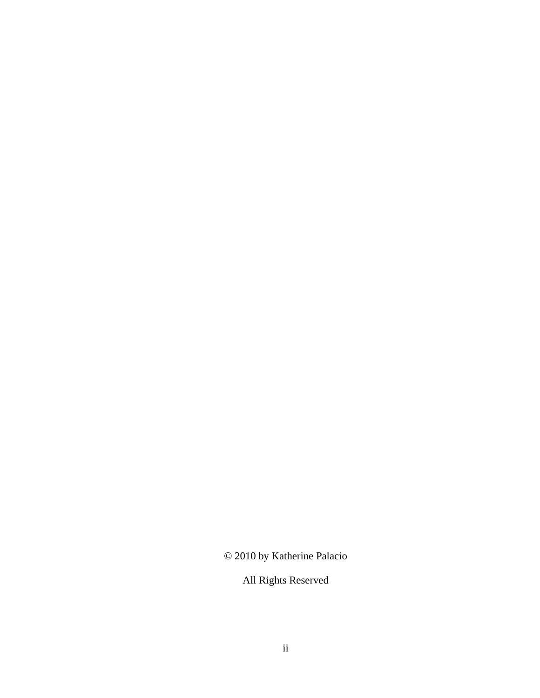© 2010 by Katherine Palacio

All Rights Reserved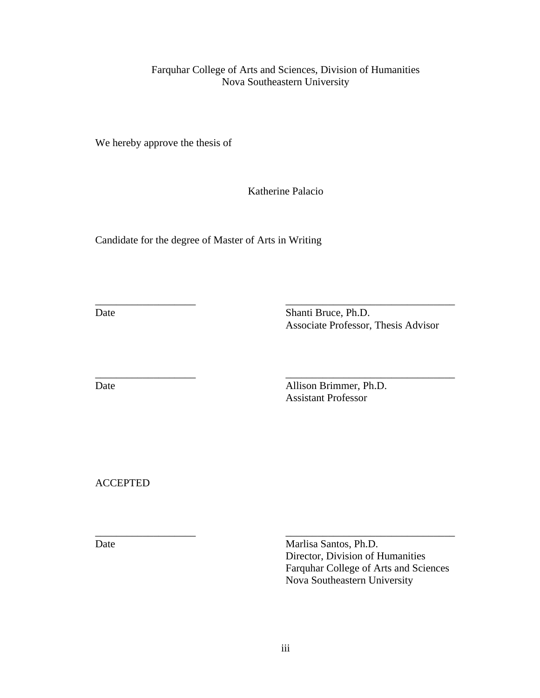Farquhar College of Arts and Sciences, Division of Humanities Nova Southeastern University

We hereby approve the thesis of

Katherine Palacio

\_\_\_\_\_\_\_\_\_\_\_\_\_\_\_\_\_\_\_ \_\_\_\_\_\_\_\_\_\_\_\_\_\_\_\_\_\_\_\_\_\_\_\_\_\_\_\_\_\_\_\_

\_\_\_\_\_\_\_\_\_\_\_\_\_\_\_\_\_\_\_ \_\_\_\_\_\_\_\_\_\_\_\_\_\_\_\_\_\_\_\_\_\_\_\_\_\_\_\_\_\_\_\_

\_\_\_\_\_\_\_\_\_\_\_\_\_\_\_\_\_\_\_ \_\_\_\_\_\_\_\_\_\_\_\_\_\_\_\_\_\_\_\_\_\_\_\_\_\_\_\_\_\_\_\_

Candidate for the degree of Master of Arts in Writing

Date Shanti Bruce, Ph.D. Associate Professor, Thesis Advisor

Date Allison Brimmer, Ph.D. Assistant Professor

ACCEPTED

Date Marlisa Santos, Ph.D. Director, Division of Humanities Farquhar College of Arts and Sciences Nova Southeastern University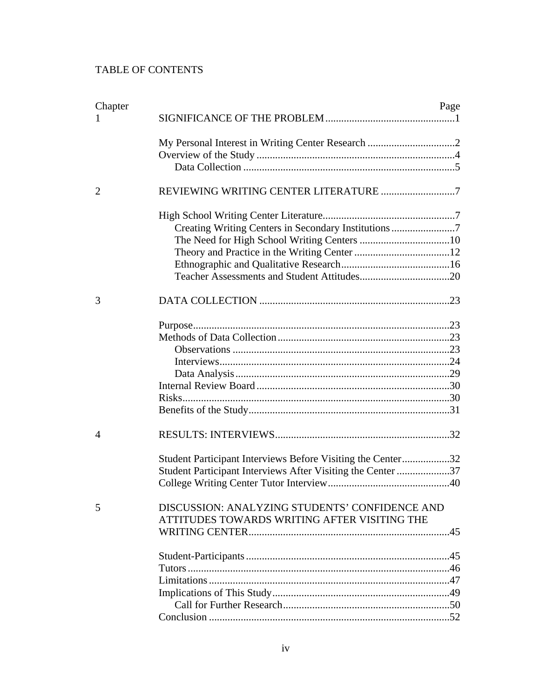# TABLE OF CONTENTS

| Chapter        |                                                                                                | Page |  |
|----------------|------------------------------------------------------------------------------------------------|------|--|
|                |                                                                                                |      |  |
|                |                                                                                                |      |  |
|                |                                                                                                |      |  |
|                |                                                                                                |      |  |
| $\overline{2}$ |                                                                                                |      |  |
|                |                                                                                                |      |  |
|                | Creating Writing Centers in Secondary Institutions 7                                           |      |  |
|                |                                                                                                |      |  |
|                |                                                                                                |      |  |
|                |                                                                                                |      |  |
|                |                                                                                                |      |  |
| 3              |                                                                                                |      |  |
|                |                                                                                                |      |  |
|                |                                                                                                |      |  |
|                |                                                                                                |      |  |
|                |                                                                                                |      |  |
|                |                                                                                                |      |  |
|                |                                                                                                |      |  |
|                |                                                                                                |      |  |
|                |                                                                                                |      |  |
|                |                                                                                                |      |  |
| 4              |                                                                                                |      |  |
|                | Student Participant Interviews Before Visiting the Center32                                    |      |  |
|                | Student Participant Interviews After Visiting the Center 37                                    |      |  |
|                |                                                                                                |      |  |
| 5              | DISCUSSION: ANALYZING STUDENTS' CONFIDENCE AND<br>ATTITUDES TOWARDS WRITING AFTER VISITING THE |      |  |
|                |                                                                                                |      |  |
|                |                                                                                                |      |  |
|                |                                                                                                |      |  |
|                |                                                                                                |      |  |
|                |                                                                                                |      |  |
|                |                                                                                                |      |  |
|                |                                                                                                |      |  |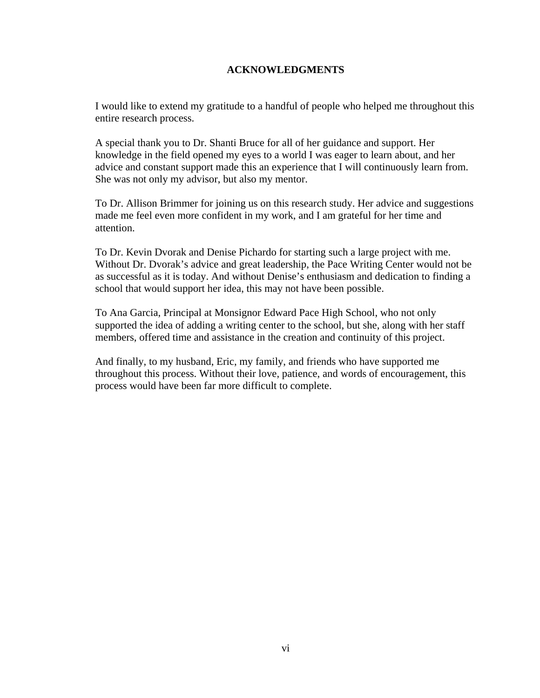# **ACKNOWLEDGMENTS**

I would like to extend my gratitude to a handful of people who helped me throughout this entire research process.

A special thank you to Dr. Shanti Bruce for all of her guidance and support. Her knowledge in the field opened my eyes to a world I was eager to learn about, and her advice and constant support made this an experience that I will continuously learn from. She was not only my advisor, but also my mentor.

To Dr. Allison Brimmer for joining us on this research study. Her advice and suggestions made me feel even more confident in my work, and I am grateful for her time and attention.

To Dr. Kevin Dvorak and Denise Pichardo for starting such a large project with me. Without Dr. Dvorak's advice and great leadership, the Pace Writing Center would not be as successful as it is today. And without Denise's enthusiasm and dedication to finding a school that would support her idea, this may not have been possible.

To Ana Garcia, Principal at Monsignor Edward Pace High School, who not only supported the idea of adding a writing center to the school, but she, along with her staff members, offered time and assistance in the creation and continuity of this project.

And finally, to my husband, Eric, my family, and friends who have supported me throughout this process. Without their love, patience, and words of encouragement, this process would have been far more difficult to complete.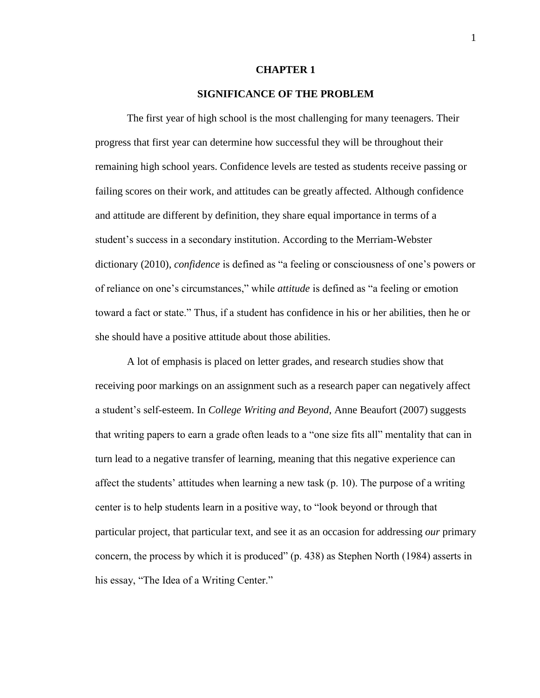#### **CHAPTER 1**

## **SIGNIFICANCE OF THE PROBLEM**

The first year of high school is the most challenging for many teenagers. Their progress that first year can determine how successful they will be throughout their remaining high school years. Confidence levels are tested as students receive passing or failing scores on their work, and attitudes can be greatly affected. Although confidence and attitude are different by definition, they share equal importance in terms of a student"s success in a secondary institution. According to the Merriam-Webster dictionary (2010), *confidence* is defined as "a feeling or consciousness of one"s powers or of reliance on one"s circumstances," while *attitude* is defined as "a feeling or emotion toward a fact or state." Thus, if a student has confidence in his or her abilities, then he or she should have a positive attitude about those abilities.

A lot of emphasis is placed on letter grades, and research studies show that receiving poor markings on an assignment such as a research paper can negatively affect a student"s self-esteem. In *College Writing and Beyond,* Anne Beaufort (2007) suggests that writing papers to earn a grade often leads to a "one size fits all" mentality that can in turn lead to a negative transfer of learning, meaning that this negative experience can affect the students' attitudes when learning a new task  $(p. 10)$ . The purpose of a writing center is to help students learn in a positive way, to "look beyond or through that particular project, that particular text, and see it as an occasion for addressing *our* primary concern, the process by which it is produced" (p. 438) as Stephen North (1984) asserts in his essay, "The Idea of a Writing Center."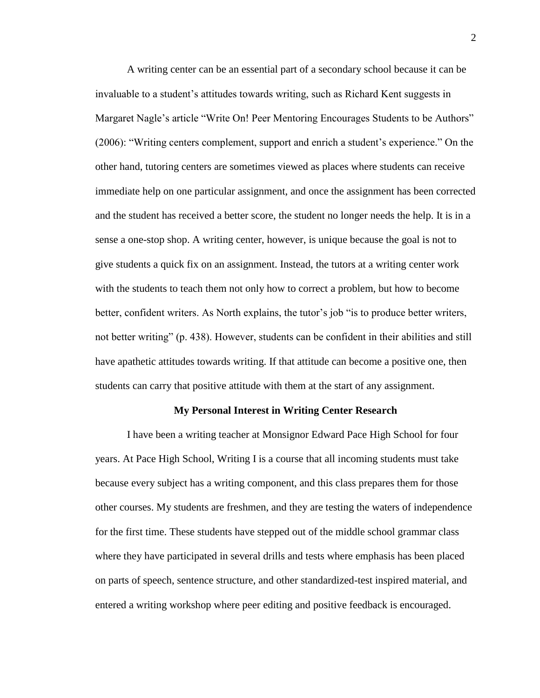A writing center can be an essential part of a secondary school because it can be invaluable to a student"s attitudes towards writing, such as Richard Kent suggests in Margaret Nagle's article "Write On! Peer Mentoring Encourages Students to be Authors" (2006): "Writing centers complement, support and enrich a student"s experience." On the other hand, tutoring centers are sometimes viewed as places where students can receive immediate help on one particular assignment, and once the assignment has been corrected and the student has received a better score, the student no longer needs the help. It is in a sense a one-stop shop. A writing center, however, is unique because the goal is not to give students a quick fix on an assignment. Instead, the tutors at a writing center work with the students to teach them not only how to correct a problem, but how to become better, confident writers. As North explains, the tutor's job "is to produce better writers, not better writing" (p. 438). However, students can be confident in their abilities and still have apathetic attitudes towards writing. If that attitude can become a positive one, then students can carry that positive attitude with them at the start of any assignment.

#### **My Personal Interest in Writing Center Research**

I have been a writing teacher at Monsignor Edward Pace High School for four years. At Pace High School, Writing I is a course that all incoming students must take because every subject has a writing component, and this class prepares them for those other courses. My students are freshmen, and they are testing the waters of independence for the first time. These students have stepped out of the middle school grammar class where they have participated in several drills and tests where emphasis has been placed on parts of speech, sentence structure, and other standardized-test inspired material, and entered a writing workshop where peer editing and positive feedback is encouraged.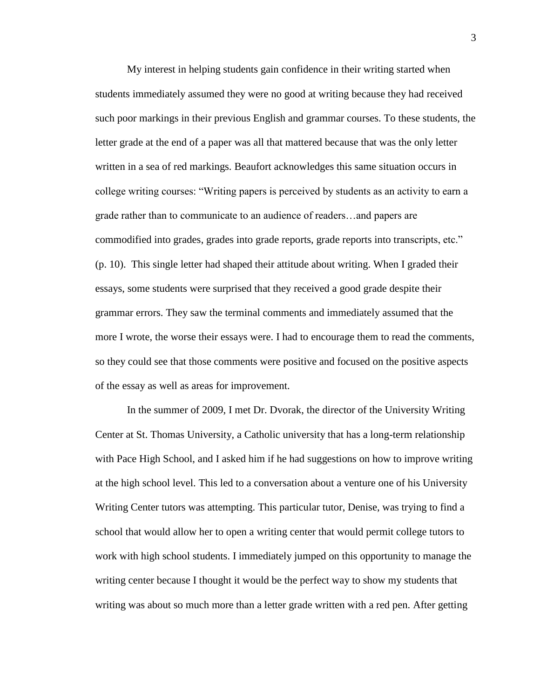My interest in helping students gain confidence in their writing started when students immediately assumed they were no good at writing because they had received such poor markings in their previous English and grammar courses. To these students, the letter grade at the end of a paper was all that mattered because that was the only letter written in a sea of red markings. Beaufort acknowledges this same situation occurs in college writing courses: "Writing papers is perceived by students as an activity to earn a grade rather than to communicate to an audience of readers…and papers are commodified into grades, grades into grade reports, grade reports into transcripts, etc." (p. 10). This single letter had shaped their attitude about writing. When I graded their essays, some students were surprised that they received a good grade despite their grammar errors. They saw the terminal comments and immediately assumed that the more I wrote, the worse their essays were. I had to encourage them to read the comments, so they could see that those comments were positive and focused on the positive aspects of the essay as well as areas for improvement.

In the summer of 2009, I met Dr. Dvorak, the director of the University Writing Center at St. Thomas University, a Catholic university that has a long-term relationship with Pace High School, and I asked him if he had suggestions on how to improve writing at the high school level. This led to a conversation about a venture one of his University Writing Center tutors was attempting. This particular tutor, Denise, was trying to find a school that would allow her to open a writing center that would permit college tutors to work with high school students. I immediately jumped on this opportunity to manage the writing center because I thought it would be the perfect way to show my students that writing was about so much more than a letter grade written with a red pen. After getting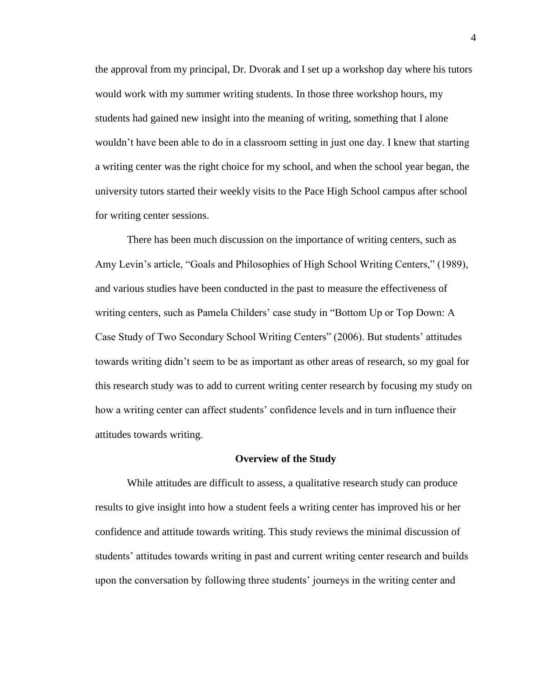the approval from my principal, Dr. Dvorak and I set up a workshop day where his tutors would work with my summer writing students. In those three workshop hours, my students had gained new insight into the meaning of writing, something that I alone wouldn"t have been able to do in a classroom setting in just one day. I knew that starting a writing center was the right choice for my school, and when the school year began, the university tutors started their weekly visits to the Pace High School campus after school for writing center sessions.

There has been much discussion on the importance of writing centers, such as Amy Levin"s article, "Goals and Philosophies of High School Writing Centers," (1989), and various studies have been conducted in the past to measure the effectiveness of writing centers, such as Pamela Childers' case study in "Bottom Up or Top Down: A Case Study of Two Secondary School Writing Centers" (2006). But students" attitudes towards writing didn"t seem to be as important as other areas of research, so my goal for this research study was to add to current writing center research by focusing my study on how a writing center can affect students' confidence levels and in turn influence their attitudes towards writing.

#### **Overview of the Study**

While attitudes are difficult to assess, a qualitative research study can produce results to give insight into how a student feels a writing center has improved his or her confidence and attitude towards writing. This study reviews the minimal discussion of students' attitudes towards writing in past and current writing center research and builds upon the conversation by following three students" journeys in the writing center and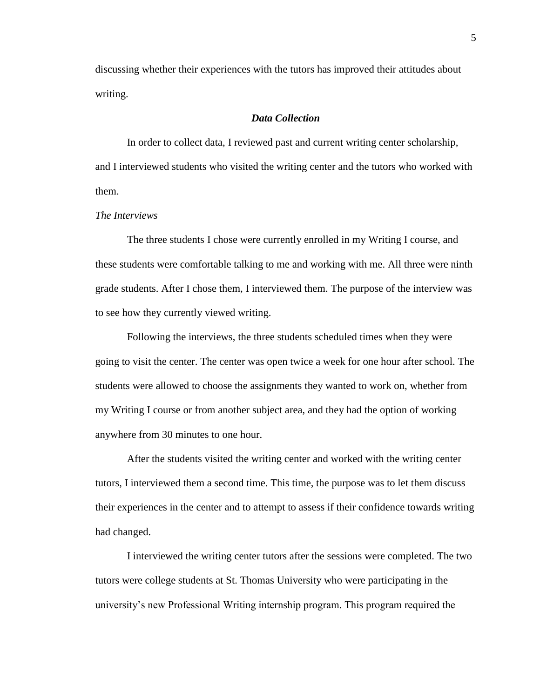discussing whether their experiences with the tutors has improved their attitudes about writing.

## *Data Collection*

In order to collect data, I reviewed past and current writing center scholarship, and I interviewed students who visited the writing center and the tutors who worked with them.

#### *The Interviews*

The three students I chose were currently enrolled in my Writing I course, and these students were comfortable talking to me and working with me. All three were ninth grade students. After I chose them, I interviewed them. The purpose of the interview was to see how they currently viewed writing.

Following the interviews, the three students scheduled times when they were going to visit the center. The center was open twice a week for one hour after school. The students were allowed to choose the assignments they wanted to work on, whether from my Writing I course or from another subject area, and they had the option of working anywhere from 30 minutes to one hour.

After the students visited the writing center and worked with the writing center tutors, I interviewed them a second time. This time, the purpose was to let them discuss their experiences in the center and to attempt to assess if their confidence towards writing had changed.

I interviewed the writing center tutors after the sessions were completed. The two tutors were college students at St. Thomas University who were participating in the university"s new Professional Writing internship program. This program required the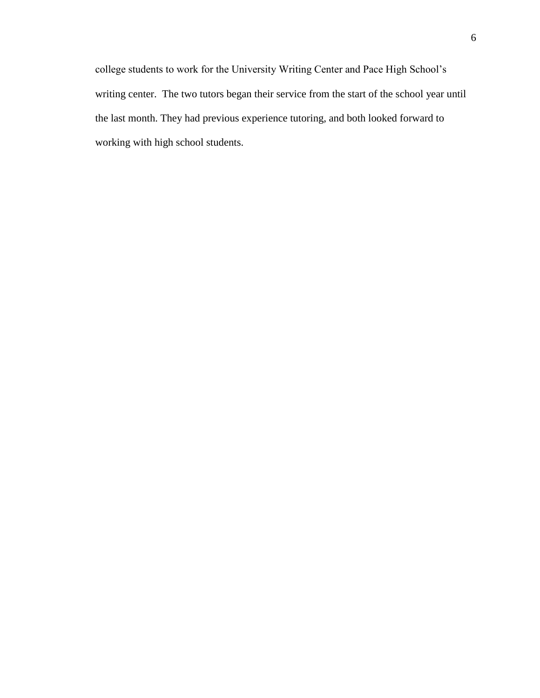college students to work for the University Writing Center and Pace High School"s writing center. The two tutors began their service from the start of the school year until the last month. They had previous experience tutoring, and both looked forward to working with high school students.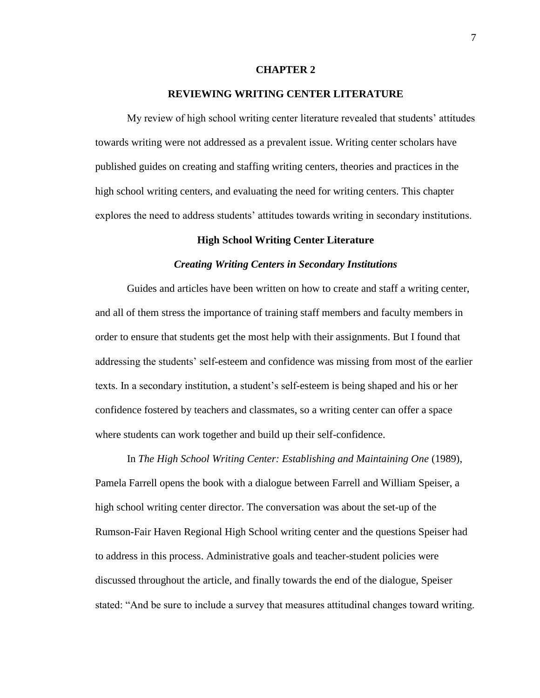#### **CHAPTER 2**

### **REVIEWING WRITING CENTER LITERATURE**

My review of high school writing center literature revealed that students' attitudes towards writing were not addressed as a prevalent issue. Writing center scholars have published guides on creating and staffing writing centers, theories and practices in the high school writing centers, and evaluating the need for writing centers. This chapter explores the need to address students' attitudes towards writing in secondary institutions.

#### **High School Writing Center Literature**

#### *Creating Writing Centers in Secondary Institutions*

Guides and articles have been written on how to create and staff a writing center, and all of them stress the importance of training staff members and faculty members in order to ensure that students get the most help with their assignments. But I found that addressing the students" self-esteem and confidence was missing from most of the earlier texts. In a secondary institution, a student"s self-esteem is being shaped and his or her confidence fostered by teachers and classmates, so a writing center can offer a space where students can work together and build up their self-confidence.

In *The High School Writing Center: Establishing and Maintaining One* (1989), Pamela Farrell opens the book with a dialogue between Farrell and William Speiser, a high school writing center director. The conversation was about the set-up of the Rumson-Fair Haven Regional High School writing center and the questions Speiser had to address in this process. Administrative goals and teacher-student policies were discussed throughout the article, and finally towards the end of the dialogue, Speiser stated: "And be sure to include a survey that measures attitudinal changes toward writing.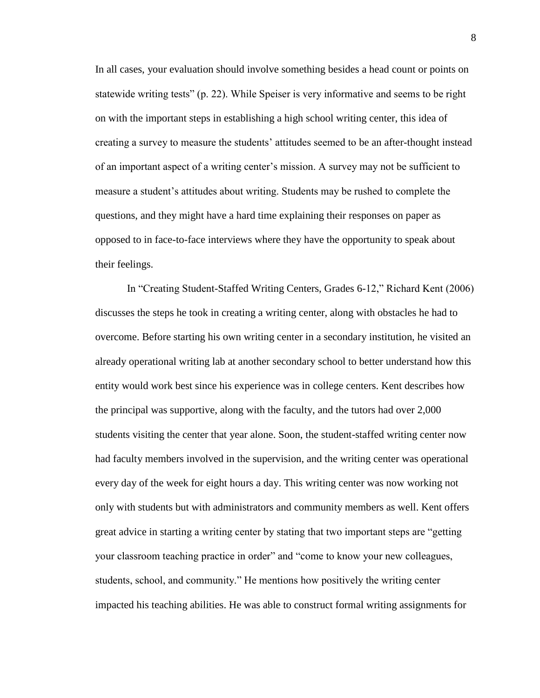In all cases, your evaluation should involve something besides a head count or points on statewide writing tests" (p. 22). While Speiser is very informative and seems to be right on with the important steps in establishing a high school writing center, this idea of creating a survey to measure the students" attitudes seemed to be an after-thought instead of an important aspect of a writing center"s mission. A survey may not be sufficient to measure a student"s attitudes about writing. Students may be rushed to complete the questions, and they might have a hard time explaining their responses on paper as opposed to in face-to-face interviews where they have the opportunity to speak about their feelings.

In "Creating Student-Staffed Writing Centers, Grades 6-12," Richard Kent (2006) discusses the steps he took in creating a writing center, along with obstacles he had to overcome. Before starting his own writing center in a secondary institution, he visited an already operational writing lab at another secondary school to better understand how this entity would work best since his experience was in college centers. Kent describes how the principal was supportive, along with the faculty, and the tutors had over 2,000 students visiting the center that year alone. Soon, the student-staffed writing center now had faculty members involved in the supervision, and the writing center was operational every day of the week for eight hours a day. This writing center was now working not only with students but with administrators and community members as well. Kent offers great advice in starting a writing center by stating that two important steps are "getting your classroom teaching practice in order" and "come to know your new colleagues, students, school, and community." He mentions how positively the writing center impacted his teaching abilities. He was able to construct formal writing assignments for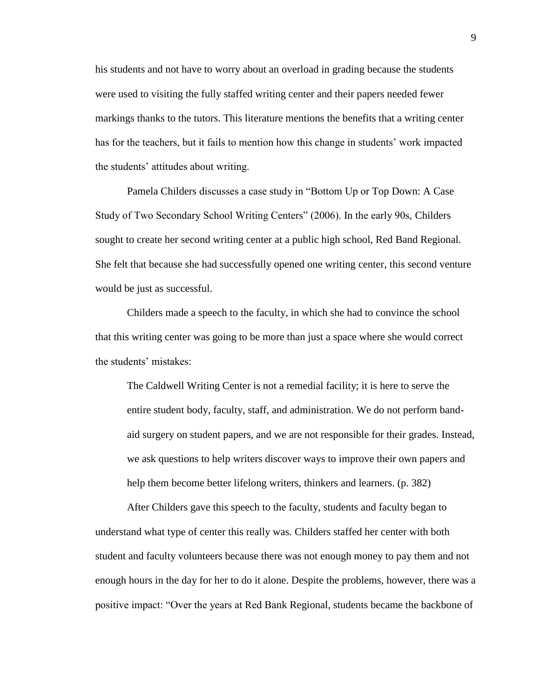his students and not have to worry about an overload in grading because the students were used to visiting the fully staffed writing center and their papers needed fewer markings thanks to the tutors. This literature mentions the benefits that a writing center has for the teachers, but it fails to mention how this change in students' work impacted the students" attitudes about writing.

Pamela Childers discusses a case study in "Bottom Up or Top Down: A Case Study of Two Secondary School Writing Centers" (2006). In the early 90s, Childers sought to create her second writing center at a public high school, Red Band Regional. She felt that because she had successfully opened one writing center, this second venture would be just as successful.

Childers made a speech to the faculty, in which she had to convince the school that this writing center was going to be more than just a space where she would correct the students' mistakes:

The Caldwell Writing Center is not a remedial facility; it is here to serve the entire student body, faculty, staff, and administration. We do not perform bandaid surgery on student papers, and we are not responsible for their grades. Instead, we ask questions to help writers discover ways to improve their own papers and help them become better lifelong writers, thinkers and learners. (p. 382)

After Childers gave this speech to the faculty, students and faculty began to understand what type of center this really was. Childers staffed her center with both student and faculty volunteers because there was not enough money to pay them and not enough hours in the day for her to do it alone. Despite the problems, however, there was a positive impact: "Over the years at Red Bank Regional, students became the backbone of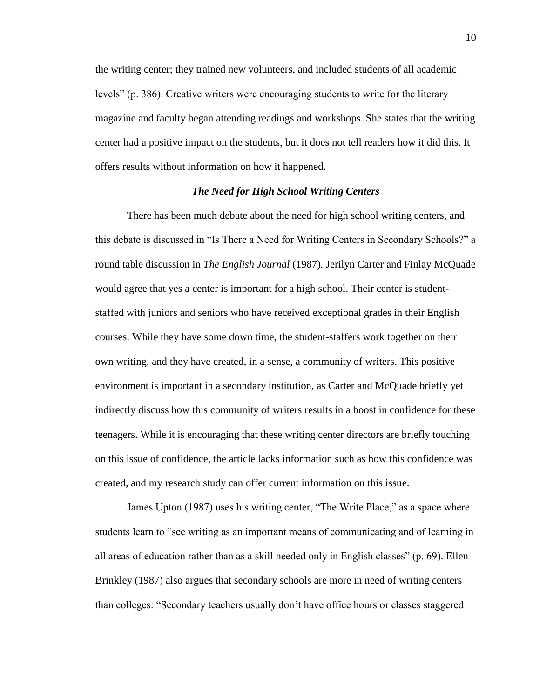the writing center; they trained new volunteers, and included students of all academic levels" (p. 386). Creative writers were encouraging students to write for the literary magazine and faculty began attending readings and workshops. She states that the writing center had a positive impact on the students, but it does not tell readers how it did this. It offers results without information on how it happened.

#### *The Need for High School Writing Centers*

There has been much debate about the need for high school writing centers, and this debate is discussed in "Is There a Need for Writing Centers in Secondary Schools?" a round table discussion in *The English Journal* (1987)*.* Jerilyn Carter and Finlay McQuade would agree that yes a center is important for a high school. Their center is studentstaffed with juniors and seniors who have received exceptional grades in their English courses. While they have some down time, the student-staffers work together on their own writing, and they have created, in a sense, a community of writers. This positive environment is important in a secondary institution, as Carter and McQuade briefly yet indirectly discuss how this community of writers results in a boost in confidence for these teenagers. While it is encouraging that these writing center directors are briefly touching on this issue of confidence, the article lacks information such as how this confidence was created, and my research study can offer current information on this issue.

James Upton (1987) uses his writing center, "The Write Place," as a space where students learn to "see writing as an important means of communicating and of learning in all areas of education rather than as a skill needed only in English classes" (p. 69). Ellen Brinkley (1987) also argues that secondary schools are more in need of writing centers than colleges: "Secondary teachers usually don"t have office hours or classes staggered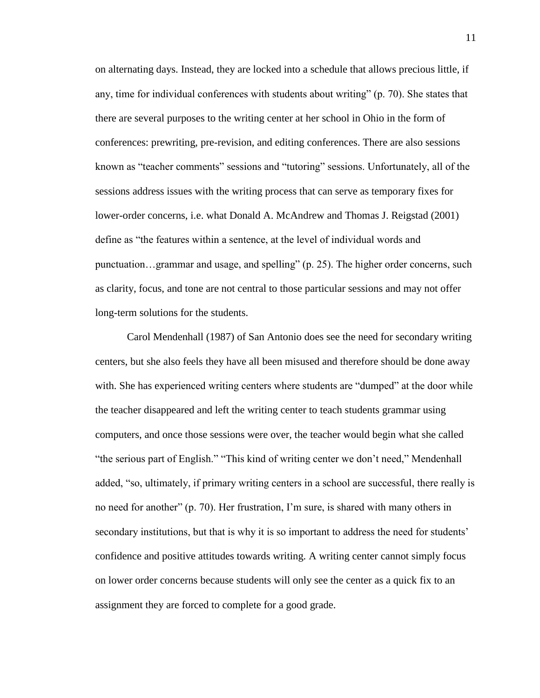on alternating days. Instead, they are locked into a schedule that allows precious little, if any, time for individual conferences with students about writing" (p. 70). She states that there are several purposes to the writing center at her school in Ohio in the form of conferences: prewriting, pre-revision, and editing conferences. There are also sessions known as "teacher comments" sessions and "tutoring" sessions. Unfortunately, all of the sessions address issues with the writing process that can serve as temporary fixes for lower-order concerns, i.e. what Donald A. McAndrew and Thomas J. Reigstad (2001) define as "the features within a sentence, at the level of individual words and punctuation…grammar and usage, and spelling" (p. 25). The higher order concerns, such as clarity, focus, and tone are not central to those particular sessions and may not offer long-term solutions for the students.

Carol Mendenhall (1987) of San Antonio does see the need for secondary writing centers, but she also feels they have all been misused and therefore should be done away with. She has experienced writing centers where students are "dumped" at the door while the teacher disappeared and left the writing center to teach students grammar using computers, and once those sessions were over, the teacher would begin what she called "the serious part of English." "This kind of writing center we don"t need," Mendenhall added, "so, ultimately, if primary writing centers in a school are successful, there really is no need for another" (p. 70). Her frustration, I"m sure, is shared with many others in secondary institutions, but that is why it is so important to address the need for students' confidence and positive attitudes towards writing. A writing center cannot simply focus on lower order concerns because students will only see the center as a quick fix to an assignment they are forced to complete for a good grade.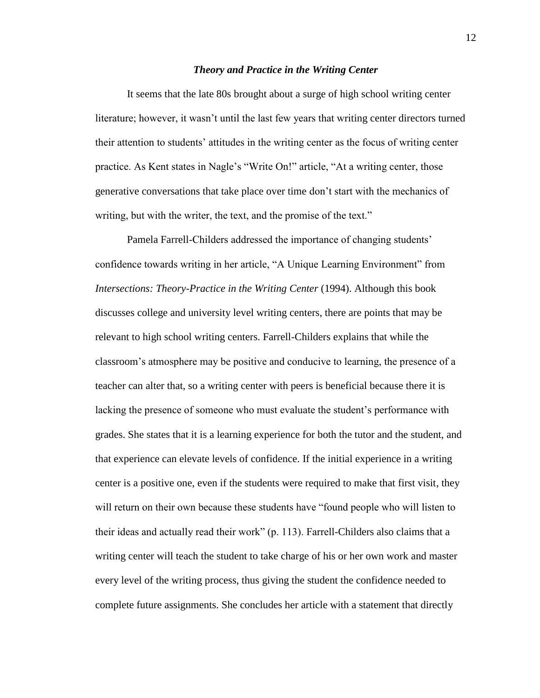#### *Theory and Practice in the Writing Center*

It seems that the late 80s brought about a surge of high school writing center literature; however, it wasn"t until the last few years that writing center directors turned their attention to students" attitudes in the writing center as the focus of writing center practice. As Kent states in Nagle"s "Write On!" article, "At a writing center, those generative conversations that take place over time don"t start with the mechanics of writing, but with the writer, the text, and the promise of the text."

Pamela Farrell-Childers addressed the importance of changing students' confidence towards writing in her article, "A Unique Learning Environment" from *Intersections: Theory-Practice in the Writing Center (1994). Although this book* discusses college and university level writing centers, there are points that may be relevant to high school writing centers. Farrell-Childers explains that while the classroom"s atmosphere may be positive and conducive to learning, the presence of a teacher can alter that, so a writing center with peers is beneficial because there it is lacking the presence of someone who must evaluate the student"s performance with grades. She states that it is a learning experience for both the tutor and the student, and that experience can elevate levels of confidence. If the initial experience in a writing center is a positive one, even if the students were required to make that first visit, they will return on their own because these students have "found people who will listen to their ideas and actually read their work" (p. 113). Farrell-Childers also claims that a writing center will teach the student to take charge of his or her own work and master every level of the writing process, thus giving the student the confidence needed to complete future assignments. She concludes her article with a statement that directly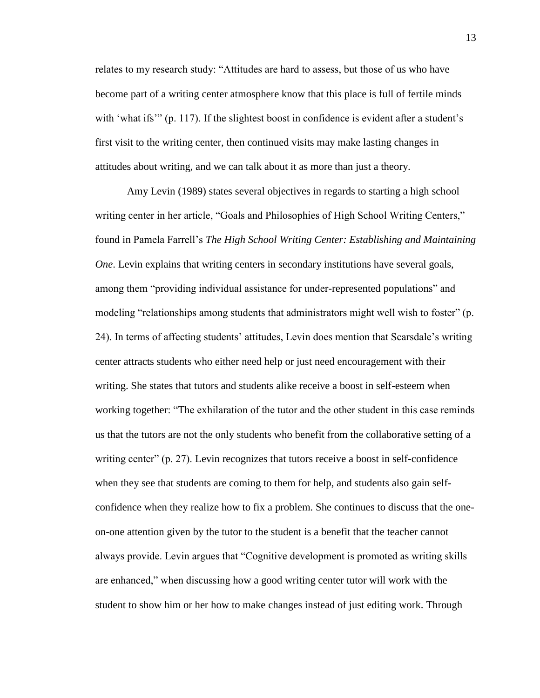relates to my research study: "Attitudes are hard to assess, but those of us who have become part of a writing center atmosphere know that this place is full of fertile minds with 'what ifs'" (p. 117). If the slightest boost in confidence is evident after a student's first visit to the writing center, then continued visits may make lasting changes in attitudes about writing, and we can talk about it as more than just a theory.

Amy Levin (1989) states several objectives in regards to starting a high school writing center in her article, "Goals and Philosophies of High School Writing Centers," found in Pamela Farrell"s *The High School Writing Center: Establishing and Maintaining One*. Levin explains that writing centers in secondary institutions have several goals, among them "providing individual assistance for under-represented populations" and modeling "relationships among students that administrators might well wish to foster" (p. 24). In terms of affecting students" attitudes, Levin does mention that Scarsdale"s writing center attracts students who either need help or just need encouragement with their writing. She states that tutors and students alike receive a boost in self-esteem when working together: "The exhilaration of the tutor and the other student in this case reminds us that the tutors are not the only students who benefit from the collaborative setting of a writing center" (p. 27). Levin recognizes that tutors receive a boost in self-confidence when they see that students are coming to them for help, and students also gain selfconfidence when they realize how to fix a problem. She continues to discuss that the oneon-one attention given by the tutor to the student is a benefit that the teacher cannot always provide. Levin argues that "Cognitive development is promoted as writing skills are enhanced," when discussing how a good writing center tutor will work with the student to show him or her how to make changes instead of just editing work. Through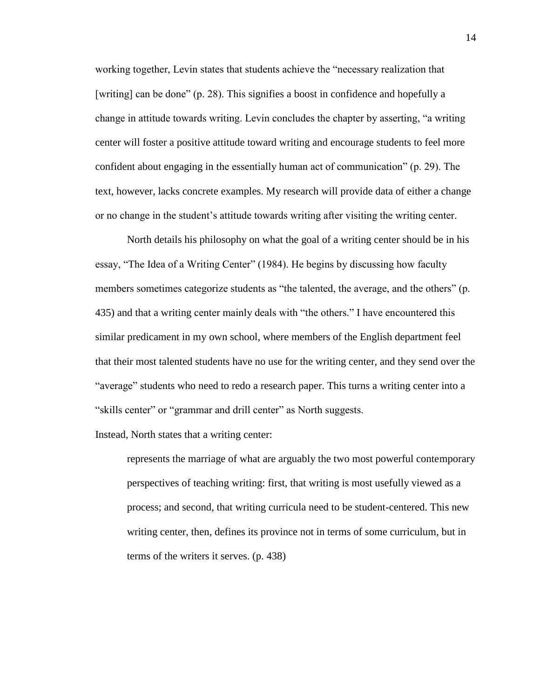working together, Levin states that students achieve the "necessary realization that [writing] can be done" (p. 28). This signifies a boost in confidence and hopefully a change in attitude towards writing. Levin concludes the chapter by asserting, "a writing center will foster a positive attitude toward writing and encourage students to feel more confident about engaging in the essentially human act of communication" (p. 29). The text, however, lacks concrete examples. My research will provide data of either a change or no change in the student"s attitude towards writing after visiting the writing center.

North details his philosophy on what the goal of a writing center should be in his essay, "The Idea of a Writing Center" (1984). He begins by discussing how faculty members sometimes categorize students as "the talented, the average, and the others" (p. 435) and that a writing center mainly deals with "the others." I have encountered this similar predicament in my own school, where members of the English department feel that their most talented students have no use for the writing center, and they send over the "average" students who need to redo a research paper. This turns a writing center into a "skills center" or "grammar and drill center" as North suggests.

Instead, North states that a writing center:

represents the marriage of what are arguably the two most powerful contemporary perspectives of teaching writing: first, that writing is most usefully viewed as a process; and second, that writing curricula need to be student-centered. This new writing center, then, defines its province not in terms of some curriculum, but in terms of the writers it serves. (p. 438)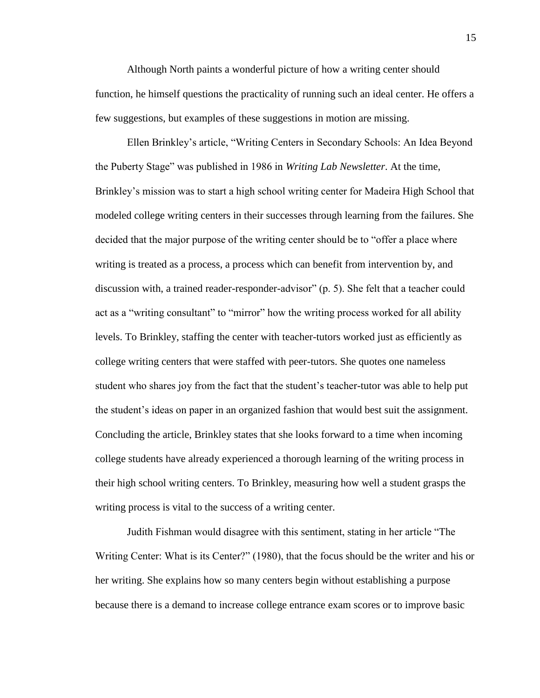Although North paints a wonderful picture of how a writing center should function, he himself questions the practicality of running such an ideal center. He offers a few suggestions, but examples of these suggestions in motion are missing.

Ellen Brinkley"s article, "Writing Centers in Secondary Schools: An Idea Beyond the Puberty Stage" was published in 1986 in *Writing Lab Newsletter*. At the time, Brinkley"s mission was to start a high school writing center for Madeira High School that modeled college writing centers in their successes through learning from the failures. She decided that the major purpose of the writing center should be to "offer a place where writing is treated as a process, a process which can benefit from intervention by, and discussion with, a trained reader-responder-advisor" (p. 5). She felt that a teacher could act as a "writing consultant" to "mirror" how the writing process worked for all ability levels. To Brinkley, staffing the center with teacher-tutors worked just as efficiently as college writing centers that were staffed with peer-tutors. She quotes one nameless student who shares joy from the fact that the student"s teacher-tutor was able to help put the student"s ideas on paper in an organized fashion that would best suit the assignment. Concluding the article, Brinkley states that she looks forward to a time when incoming college students have already experienced a thorough learning of the writing process in their high school writing centers. To Brinkley, measuring how well a student grasps the writing process is vital to the success of a writing center.

Judith Fishman would disagree with this sentiment, stating in her article "The Writing Center: What is its Center?" (1980), that the focus should be the writer and his or her writing. She explains how so many centers begin without establishing a purpose because there is a demand to increase college entrance exam scores or to improve basic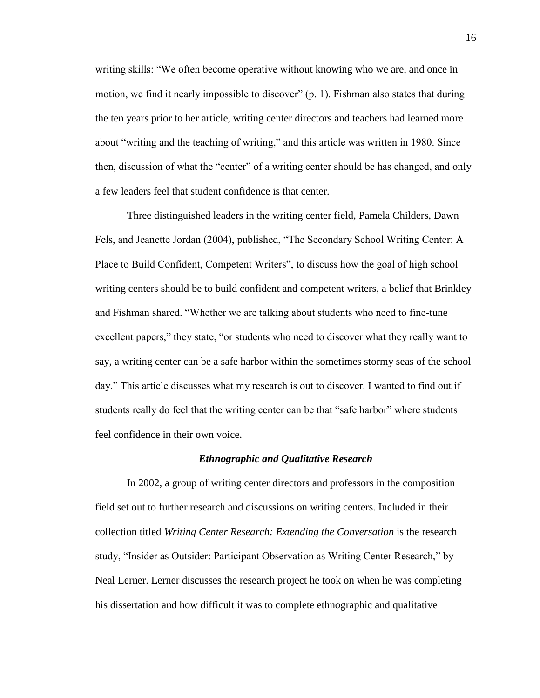writing skills: "We often become operative without knowing who we are, and once in motion, we find it nearly impossible to discover" (p. 1). Fishman also states that during the ten years prior to her article, writing center directors and teachers had learned more about "writing and the teaching of writing," and this article was written in 1980. Since then, discussion of what the "center" of a writing center should be has changed, and only a few leaders feel that student confidence is that center.

Three distinguished leaders in the writing center field, Pamela Childers, Dawn Fels, and Jeanette Jordan (2004), published, "The Secondary School Writing Center: A Place to Build Confident, Competent Writers", to discuss how the goal of high school writing centers should be to build confident and competent writers, a belief that Brinkley and Fishman shared. "Whether we are talking about students who need to fine-tune excellent papers," they state, "or students who need to discover what they really want to say, a writing center can be a safe harbor within the sometimes stormy seas of the school day." This article discusses what my research is out to discover. I wanted to find out if students really do feel that the writing center can be that "safe harbor" where students feel confidence in their own voice.

#### *Ethnographic and Qualitative Research*

In 2002, a group of writing center directors and professors in the composition field set out to further research and discussions on writing centers. Included in their collection titled *Writing Center Research: Extending the Conversation* is the research study, "Insider as Outsider: Participant Observation as Writing Center Research," by Neal Lerner. Lerner discusses the research project he took on when he was completing his dissertation and how difficult it was to complete ethnographic and qualitative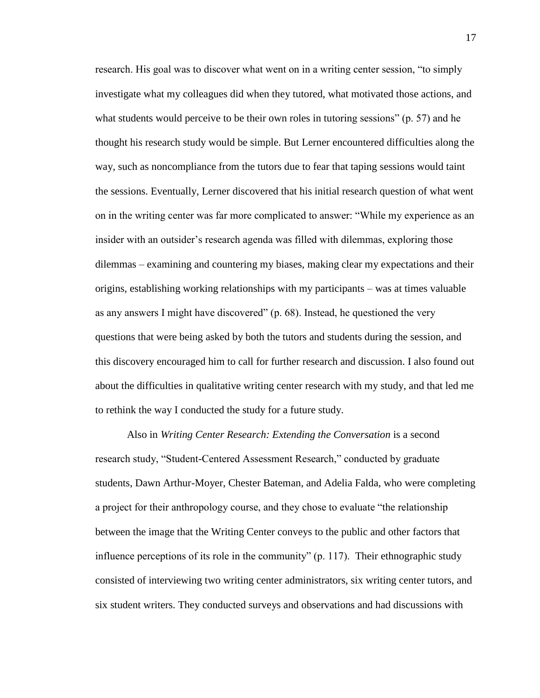research. His goal was to discover what went on in a writing center session, "to simply investigate what my colleagues did when they tutored, what motivated those actions, and what students would perceive to be their own roles in tutoring sessions" (p. 57) and he thought his research study would be simple. But Lerner encountered difficulties along the way, such as noncompliance from the tutors due to fear that taping sessions would taint the sessions. Eventually, Lerner discovered that his initial research question of what went on in the writing center was far more complicated to answer: "While my experience as an insider with an outsider's research agenda was filled with dilemmas, exploring those dilemmas – examining and countering my biases, making clear my expectations and their origins, establishing working relationships with my participants – was at times valuable as any answers I might have discovered" (p. 68). Instead, he questioned the very questions that were being asked by both the tutors and students during the session, and this discovery encouraged him to call for further research and discussion. I also found out about the difficulties in qualitative writing center research with my study, and that led me to rethink the way I conducted the study for a future study.

Also in *Writing Center Research: Extending the Conversation* is a second research study, "Student-Centered Assessment Research," conducted by graduate students, Dawn Arthur-Moyer, Chester Bateman, and Adelia Falda, who were completing a project for their anthropology course, and they chose to evaluate "the relationship between the image that the Writing Center conveys to the public and other factors that influence perceptions of its role in the community" (p. 117). Their ethnographic study consisted of interviewing two writing center administrators, six writing center tutors, and six student writers. They conducted surveys and observations and had discussions with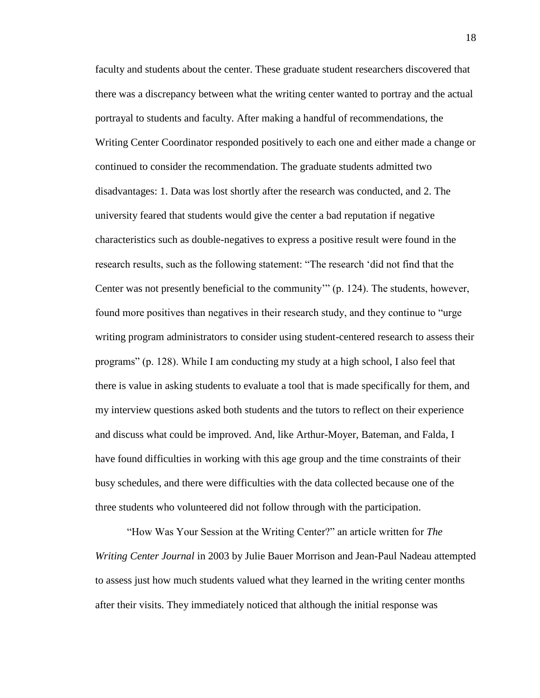faculty and students about the center. These graduate student researchers discovered that there was a discrepancy between what the writing center wanted to portray and the actual portrayal to students and faculty. After making a handful of recommendations, the Writing Center Coordinator responded positively to each one and either made a change or continued to consider the recommendation. The graduate students admitted two disadvantages: 1. Data was lost shortly after the research was conducted, and 2. The university feared that students would give the center a bad reputation if negative characteristics such as double-negatives to express a positive result were found in the research results, such as the following statement: "The research "did not find that the Center was not presently beneficial to the community"" (p. 124). The students, however, found more positives than negatives in their research study, and they continue to "urge writing program administrators to consider using student-centered research to assess their programs" (p. 128). While I am conducting my study at a high school, I also feel that there is value in asking students to evaluate a tool that is made specifically for them, and my interview questions asked both students and the tutors to reflect on their experience and discuss what could be improved. And, like Arthur-Moyer, Bateman, and Falda, I have found difficulties in working with this age group and the time constraints of their busy schedules, and there were difficulties with the data collected because one of the three students who volunteered did not follow through with the participation.

"How Was Your Session at the Writing Center?" an article written for *The Writing Center Journal* in 2003 by Julie Bauer Morrison and Jean-Paul Nadeau attempted to assess just how much students valued what they learned in the writing center months after their visits. They immediately noticed that although the initial response was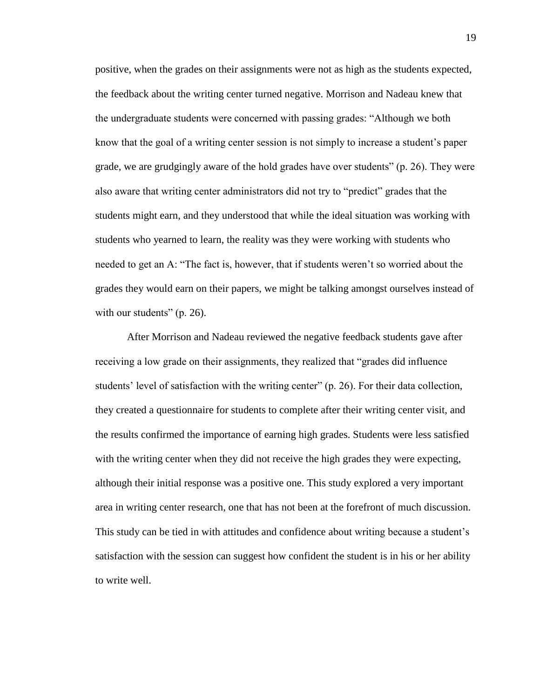positive, when the grades on their assignments were not as high as the students expected, the feedback about the writing center turned negative. Morrison and Nadeau knew that the undergraduate students were concerned with passing grades: "Although we both know that the goal of a writing center session is not simply to increase a student"s paper grade, we are grudgingly aware of the hold grades have over students" (p. 26). They were also aware that writing center administrators did not try to "predict" grades that the students might earn, and they understood that while the ideal situation was working with students who yearned to learn, the reality was they were working with students who needed to get an A: "The fact is, however, that if students weren"t so worried about the grades they would earn on their papers, we might be talking amongst ourselves instead of with our students" (p. 26).

After Morrison and Nadeau reviewed the negative feedback students gave after receiving a low grade on their assignments, they realized that "grades did influence students' level of satisfaction with the writing center" (p. 26). For their data collection, they created a questionnaire for students to complete after their writing center visit, and the results confirmed the importance of earning high grades. Students were less satisfied with the writing center when they did not receive the high grades they were expecting, although their initial response was a positive one. This study explored a very important area in writing center research, one that has not been at the forefront of much discussion. This study can be tied in with attitudes and confidence about writing because a student"s satisfaction with the session can suggest how confident the student is in his or her ability to write well.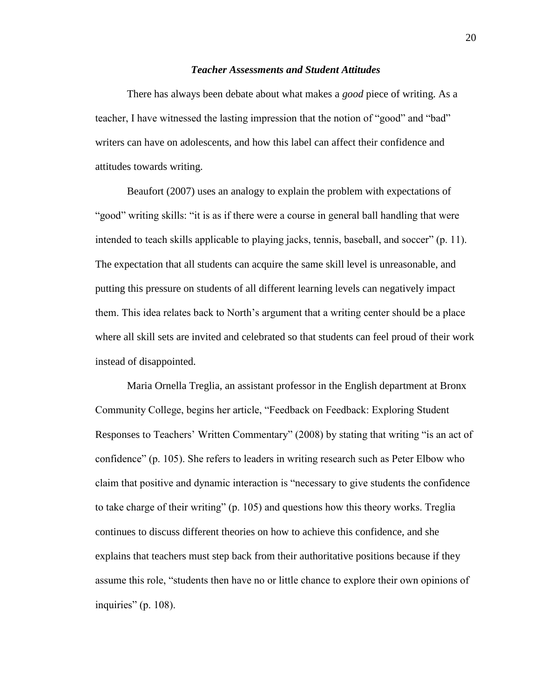#### *Teacher Assessments and Student Attitudes*

There has always been debate about what makes a *good* piece of writing. As a teacher, I have witnessed the lasting impression that the notion of "good" and "bad" writers can have on adolescents, and how this label can affect their confidence and attitudes towards writing.

Beaufort (2007) uses an analogy to explain the problem with expectations of "good" writing skills: "it is as if there were a course in general ball handling that were intended to teach skills applicable to playing jacks, tennis, baseball, and soccer" (p. 11). The expectation that all students can acquire the same skill level is unreasonable, and putting this pressure on students of all different learning levels can negatively impact them. This idea relates back to North"s argument that a writing center should be a place where all skill sets are invited and celebrated so that students can feel proud of their work instead of disappointed.

Maria Ornella Treglia, an assistant professor in the English department at Bronx Community College, begins her article, "Feedback on Feedback: Exploring Student Responses to Teachers' Written Commentary" (2008) by stating that writing "is an act of confidence" (p. 105). She refers to leaders in writing research such as Peter Elbow who claim that positive and dynamic interaction is "necessary to give students the confidence to take charge of their writing" (p. 105) and questions how this theory works. Treglia continues to discuss different theories on how to achieve this confidence, and she explains that teachers must step back from their authoritative positions because if they assume this role, "students then have no or little chance to explore their own opinions of inquiries" (p. 108).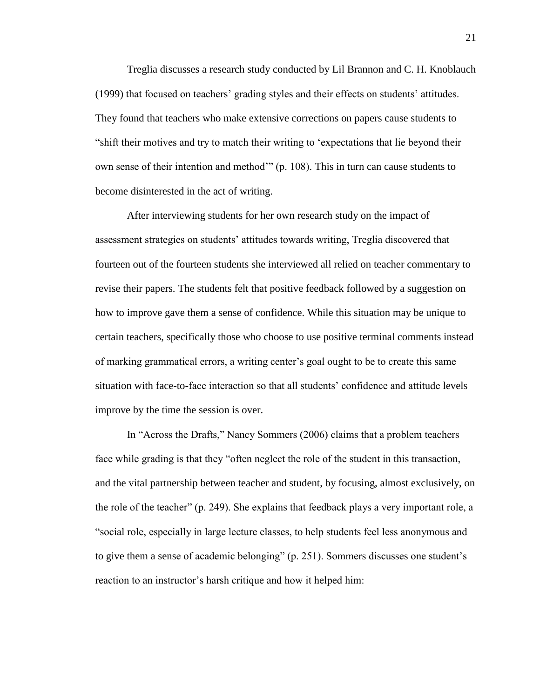Treglia discusses a research study conducted by Lil Brannon and C. H. Knoblauch (1999) that focused on teachers" grading styles and their effects on students" attitudes. They found that teachers who make extensive corrections on papers cause students to "shift their motives and try to match their writing to "expectations that lie beyond their own sense of their intention and method"" (p. 108). This in turn can cause students to become disinterested in the act of writing.

After interviewing students for her own research study on the impact of assessment strategies on students" attitudes towards writing, Treglia discovered that fourteen out of the fourteen students she interviewed all relied on teacher commentary to revise their papers. The students felt that positive feedback followed by a suggestion on how to improve gave them a sense of confidence. While this situation may be unique to certain teachers, specifically those who choose to use positive terminal comments instead of marking grammatical errors, a writing center"s goal ought to be to create this same situation with face-to-face interaction so that all students" confidence and attitude levels improve by the time the session is over.

In "Across the Drafts," Nancy Sommers (2006) claims that a problem teachers face while grading is that they "often neglect the role of the student in this transaction, and the vital partnership between teacher and student, by focusing, almost exclusively, on the role of the teacher" (p. 249). She explains that feedback plays a very important role, a "social role, especially in large lecture classes, to help students feel less anonymous and to give them a sense of academic belonging" (p. 251). Sommers discusses one student"s reaction to an instructor's harsh critique and how it helped him: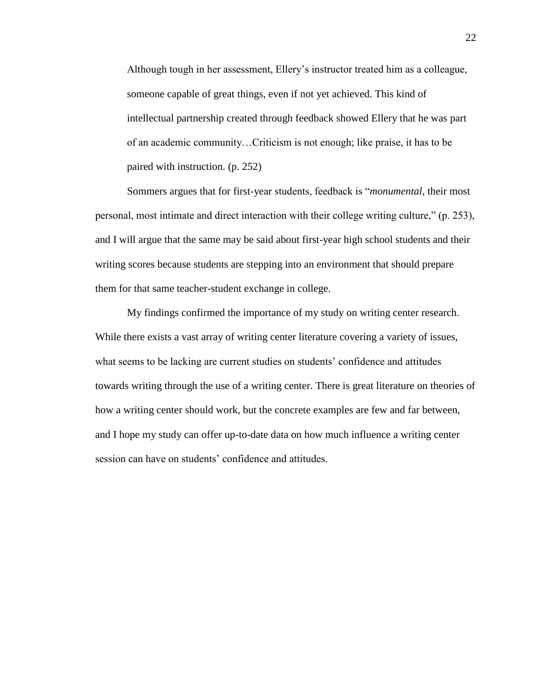Although tough in her assessment, Ellery"s instructor treated him as a colleague, someone capable of great things, even if not yet achieved. This kind of intellectual partnership created through feedback showed Ellery that he was part of an academic community…Criticism is not enough; like praise, it has to be paired with instruction. (p. 252)

Sommers argues that for first-year students, feedback is "*monumental*, their most personal, most intimate and direct interaction with their college writing culture," (p. 253), and I will argue that the same may be said about first-year high school students and their writing scores because students are stepping into an environment that should prepare them for that same teacher-student exchange in college.

My findings confirmed the importance of my study on writing center research. While there exists a vast array of writing center literature covering a variety of issues, what seems to be lacking are current studies on students' confidence and attitudes towards writing through the use of a writing center. There is great literature on theories of how a writing center should work, but the concrete examples are few and far between, and I hope my study can offer up-to-date data on how much influence a writing center session can have on students' confidence and attitudes.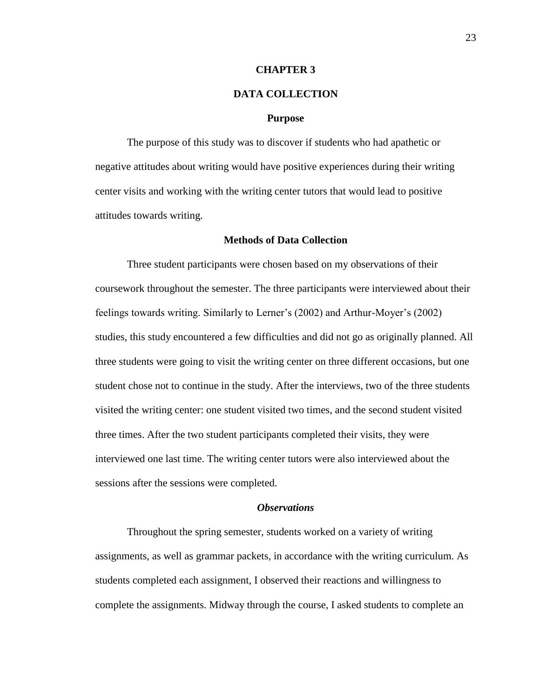#### **CHAPTER 3**

# **DATA COLLECTION**

#### **Purpose**

The purpose of this study was to discover if students who had apathetic or negative attitudes about writing would have positive experiences during their writing center visits and working with the writing center tutors that would lead to positive attitudes towards writing.

#### **Methods of Data Collection**

Three student participants were chosen based on my observations of their coursework throughout the semester. The three participants were interviewed about their feelings towards writing. Similarly to Lerner"s (2002) and Arthur-Moyer"s (2002) studies, this study encountered a few difficulties and did not go as originally planned. All three students were going to visit the writing center on three different occasions, but one student chose not to continue in the study. After the interviews, two of the three students visited the writing center: one student visited two times, and the second student visited three times. After the two student participants completed their visits, they were interviewed one last time. The writing center tutors were also interviewed about the sessions after the sessions were completed.

#### *Observations*

Throughout the spring semester, students worked on a variety of writing assignments, as well as grammar packets, in accordance with the writing curriculum. As students completed each assignment, I observed their reactions and willingness to complete the assignments. Midway through the course, I asked students to complete an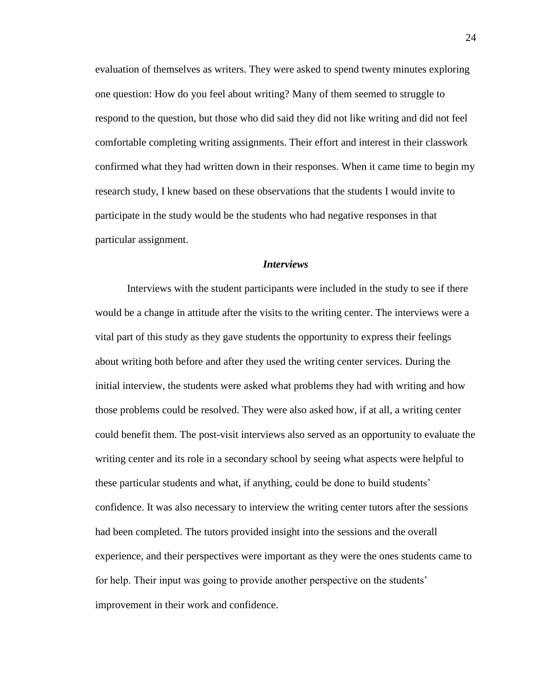evaluation of themselves as writers. They were asked to spend twenty minutes exploring one question: How do you feel about writing? Many of them seemed to struggle to respond to the question, but those who did said they did not like writing and did not feel comfortable completing writing assignments. Their effort and interest in their classwork confirmed what they had written down in their responses. When it came time to begin my research study, I knew based on these observations that the students I would invite to participate in the study would be the students who had negative responses in that particular assignment.

#### *Interviews*

Interviews with the student participants were included in the study to see if there would be a change in attitude after the visits to the writing center. The interviews were a vital part of this study as they gave students the opportunity to express their feelings about writing both before and after they used the writing center services. During the initial interview, the students were asked what problems they had with writing and how those problems could be resolved. They were also asked how, if at all, a writing center could benefit them. The post-visit interviews also served as an opportunity to evaluate the writing center and its role in a secondary school by seeing what aspects were helpful to these particular students and what, if anything, could be done to build students" confidence. It was also necessary to interview the writing center tutors after the sessions had been completed. The tutors provided insight into the sessions and the overall experience, and their perspectives were important as they were the ones students came to for help. Their input was going to provide another perspective on the students' improvement in their work and confidence.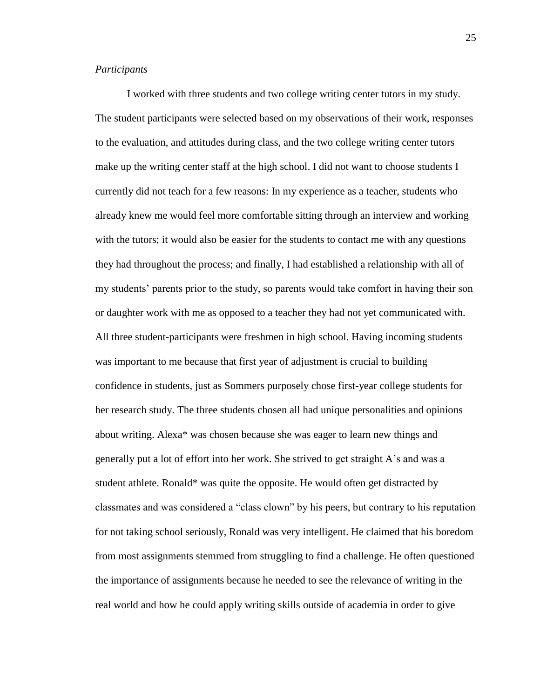#### *Participants*

I worked with three students and two college writing center tutors in my study. The student participants were selected based on my observations of their work, responses to the evaluation, and attitudes during class, and the two college writing center tutors make up the writing center staff at the high school. I did not want to choose students I currently did not teach for a few reasons: In my experience as a teacher, students who already knew me would feel more comfortable sitting through an interview and working with the tutors; it would also be easier for the students to contact me with any questions they had throughout the process; and finally, I had established a relationship with all of my students" parents prior to the study, so parents would take comfort in having their son or daughter work with me as opposed to a teacher they had not yet communicated with. All three student-participants were freshmen in high school. Having incoming students was important to me because that first year of adjustment is crucial to building confidence in students, just as Sommers purposely chose first-year college students for her research study. The three students chosen all had unique personalities and opinions about writing. Alexa\* was chosen because she was eager to learn new things and generally put a lot of effort into her work. She strived to get straight A"s and was a student athlete. Ronald\* was quite the opposite. He would often get distracted by classmates and was considered a "class clown" by his peers, but contrary to his reputation for not taking school seriously, Ronald was very intelligent. He claimed that his boredom from most assignments stemmed from struggling to find a challenge. He often questioned the importance of assignments because he needed to see the relevance of writing in the real world and how he could apply writing skills outside of academia in order to give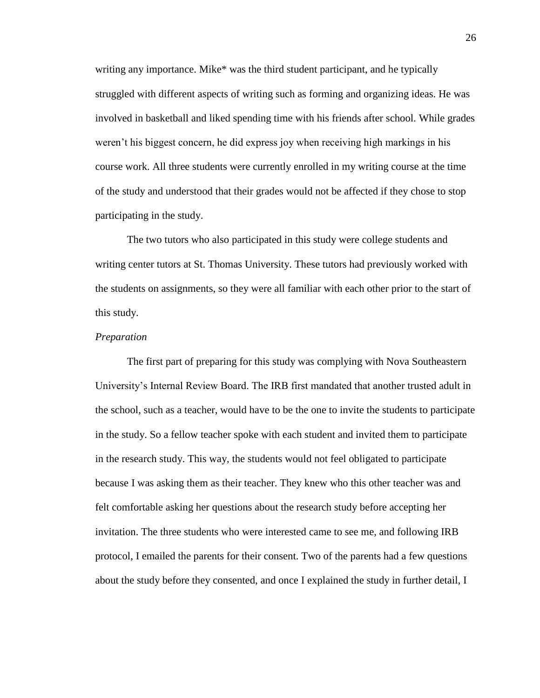writing any importance. Mike\* was the third student participant, and he typically struggled with different aspects of writing such as forming and organizing ideas. He was involved in basketball and liked spending time with his friends after school. While grades weren"t his biggest concern, he did express joy when receiving high markings in his course work. All three students were currently enrolled in my writing course at the time of the study and understood that their grades would not be affected if they chose to stop participating in the study.

The two tutors who also participated in this study were college students and writing center tutors at St. Thomas University. These tutors had previously worked with the students on assignments, so they were all familiar with each other prior to the start of this study.

#### *Preparation*

The first part of preparing for this study was complying with Nova Southeastern University"s Internal Review Board. The IRB first mandated that another trusted adult in the school, such as a teacher, would have to be the one to invite the students to participate in the study. So a fellow teacher spoke with each student and invited them to participate in the research study. This way, the students would not feel obligated to participate because I was asking them as their teacher. They knew who this other teacher was and felt comfortable asking her questions about the research study before accepting her invitation. The three students who were interested came to see me, and following IRB protocol, I emailed the parents for their consent. Two of the parents had a few questions about the study before they consented, and once I explained the study in further detail, I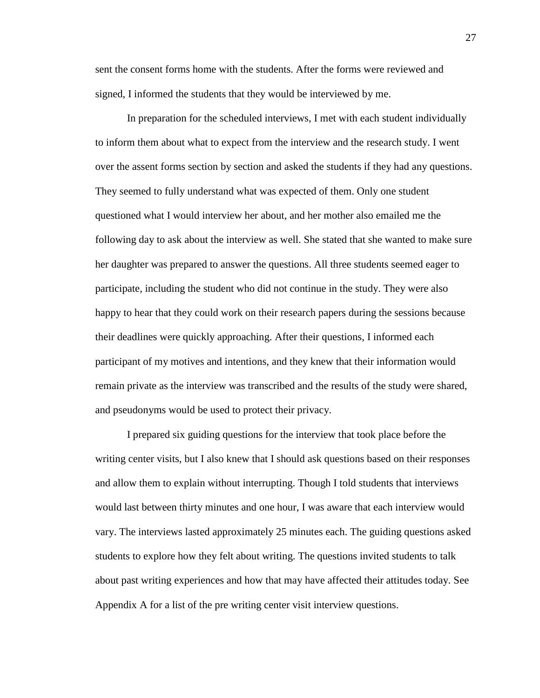sent the consent forms home with the students. After the forms were reviewed and signed, I informed the students that they would be interviewed by me.

In preparation for the scheduled interviews, I met with each student individually to inform them about what to expect from the interview and the research study. I went over the assent forms section by section and asked the students if they had any questions. They seemed to fully understand what was expected of them. Only one student questioned what I would interview her about, and her mother also emailed me the following day to ask about the interview as well. She stated that she wanted to make sure her daughter was prepared to answer the questions. All three students seemed eager to participate, including the student who did not continue in the study. They were also happy to hear that they could work on their research papers during the sessions because their deadlines were quickly approaching. After their questions, I informed each participant of my motives and intentions, and they knew that their information would remain private as the interview was transcribed and the results of the study were shared, and pseudonyms would be used to protect their privacy.

I prepared six guiding questions for the interview that took place before the writing center visits, but I also knew that I should ask questions based on their responses and allow them to explain without interrupting. Though I told students that interviews would last between thirty minutes and one hour, I was aware that each interview would vary. The interviews lasted approximately 25 minutes each. The guiding questions asked students to explore how they felt about writing. The questions invited students to talk about past writing experiences and how that may have affected their attitudes today. See Appendix A for a list of the pre writing center visit interview questions.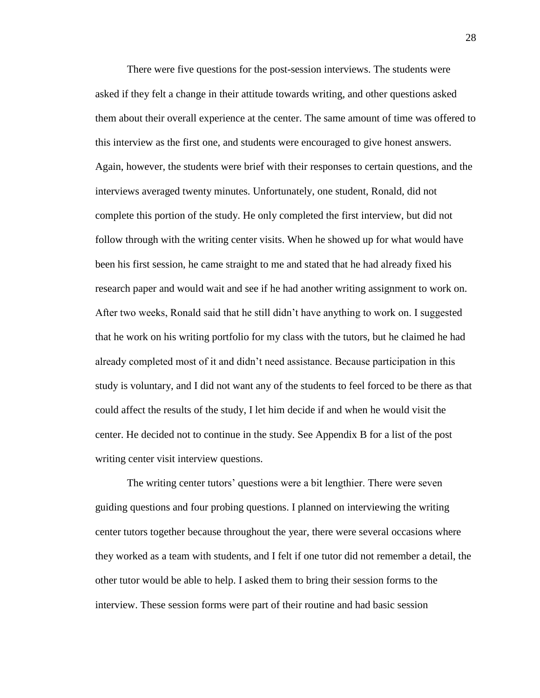There were five questions for the post-session interviews. The students were asked if they felt a change in their attitude towards writing, and other questions asked them about their overall experience at the center. The same amount of time was offered to this interview as the first one, and students were encouraged to give honest answers. Again, however, the students were brief with their responses to certain questions, and the interviews averaged twenty minutes. Unfortunately, one student, Ronald, did not complete this portion of the study. He only completed the first interview, but did not follow through with the writing center visits. When he showed up for what would have been his first session, he came straight to me and stated that he had already fixed his research paper and would wait and see if he had another writing assignment to work on. After two weeks, Ronald said that he still didn"t have anything to work on. I suggested that he work on his writing portfolio for my class with the tutors, but he claimed he had already completed most of it and didn"t need assistance. Because participation in this study is voluntary, and I did not want any of the students to feel forced to be there as that could affect the results of the study, I let him decide if and when he would visit the center. He decided not to continue in the study. See Appendix B for a list of the post writing center visit interview questions.

The writing center tutors' questions were a bit lengthier. There were seven guiding questions and four probing questions. I planned on interviewing the writing center tutors together because throughout the year, there were several occasions where they worked as a team with students, and I felt if one tutor did not remember a detail, the other tutor would be able to help. I asked them to bring their session forms to the interview. These session forms were part of their routine and had basic session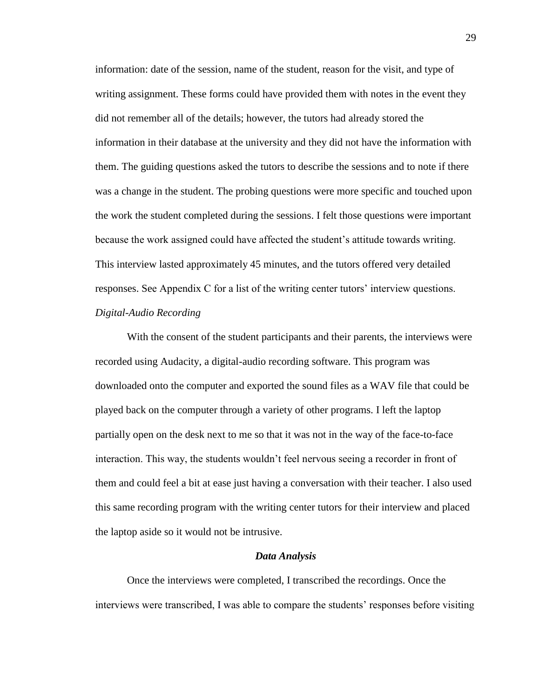information: date of the session, name of the student, reason for the visit, and type of writing assignment. These forms could have provided them with notes in the event they did not remember all of the details; however, the tutors had already stored the information in their database at the university and they did not have the information with them. The guiding questions asked the tutors to describe the sessions and to note if there was a change in the student. The probing questions were more specific and touched upon the work the student completed during the sessions. I felt those questions were important because the work assigned could have affected the student"s attitude towards writing. This interview lasted approximately 45 minutes, and the tutors offered very detailed responses. See Appendix C for a list of the writing center tutors" interview questions. *Digital-Audio Recording*

With the consent of the student participants and their parents, the interviews were recorded using Audacity, a digital-audio recording software. This program was downloaded onto the computer and exported the sound files as a WAV file that could be played back on the computer through a variety of other programs. I left the laptop partially open on the desk next to me so that it was not in the way of the face-to-face interaction. This way, the students wouldn"t feel nervous seeing a recorder in front of them and could feel a bit at ease just having a conversation with their teacher. I also used this same recording program with the writing center tutors for their interview and placed the laptop aside so it would not be intrusive.

#### *Data Analysis*

Once the interviews were completed, I transcribed the recordings. Once the interviews were transcribed, I was able to compare the students' responses before visiting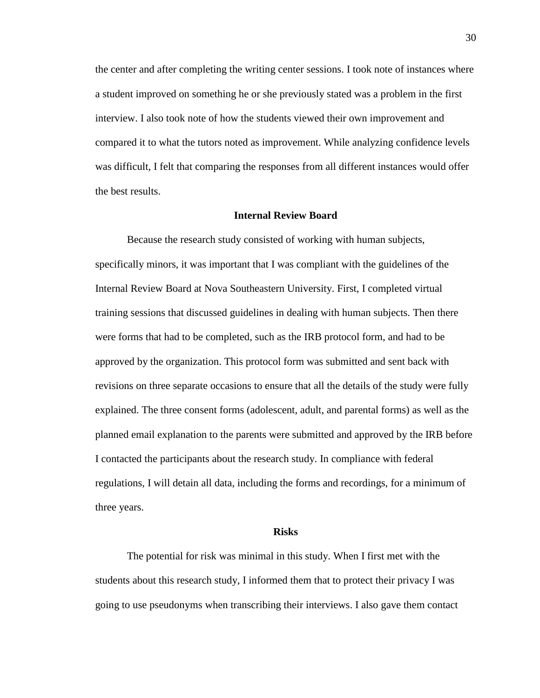the center and after completing the writing center sessions. I took note of instances where a student improved on something he or she previously stated was a problem in the first interview. I also took note of how the students viewed their own improvement and compared it to what the tutors noted as improvement. While analyzing confidence levels was difficult, I felt that comparing the responses from all different instances would offer the best results.

### **Internal Review Board**

Because the research study consisted of working with human subjects, specifically minors, it was important that I was compliant with the guidelines of the Internal Review Board at Nova Southeastern University. First, I completed virtual training sessions that discussed guidelines in dealing with human subjects. Then there were forms that had to be completed, such as the IRB protocol form, and had to be approved by the organization. This protocol form was submitted and sent back with revisions on three separate occasions to ensure that all the details of the study were fully explained. The three consent forms (adolescent, adult, and parental forms) as well as the planned email explanation to the parents were submitted and approved by the IRB before I contacted the participants about the research study. In compliance with federal regulations, I will detain all data, including the forms and recordings, for a minimum of three years.

### **Risks**

The potential for risk was minimal in this study. When I first met with the students about this research study, I informed them that to protect their privacy I was going to use pseudonyms when transcribing their interviews. I also gave them contact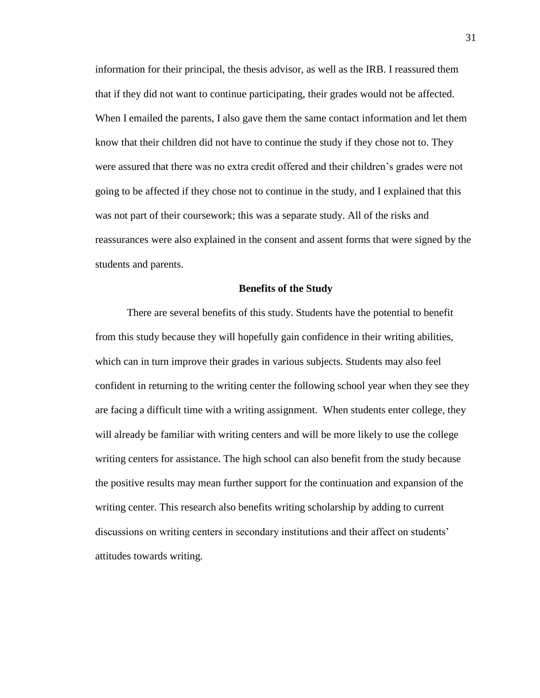information for their principal, the thesis advisor, as well as the IRB. I reassured them that if they did not want to continue participating, their grades would not be affected. When I emailed the parents, I also gave them the same contact information and let them know that their children did not have to continue the study if they chose not to. They were assured that there was no extra credit offered and their children"s grades were not going to be affected if they chose not to continue in the study, and I explained that this was not part of their coursework; this was a separate study. All of the risks and reassurances were also explained in the consent and assent forms that were signed by the students and parents.

#### **Benefits of the Study**

There are several benefits of this study. Students have the potential to benefit from this study because they will hopefully gain confidence in their writing abilities, which can in turn improve their grades in various subjects. Students may also feel confident in returning to the writing center the following school year when they see they are facing a difficult time with a writing assignment. When students enter college, they will already be familiar with writing centers and will be more likely to use the college writing centers for assistance. The high school can also benefit from the study because the positive results may mean further support for the continuation and expansion of the writing center. This research also benefits writing scholarship by adding to current discussions on writing centers in secondary institutions and their affect on students' attitudes towards writing.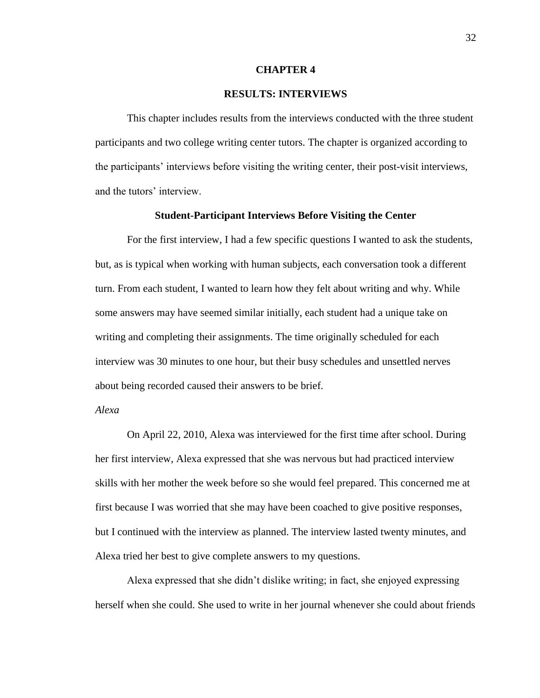### **CHAPTER 4**

# **RESULTS: INTERVIEWS**

This chapter includes results from the interviews conducted with the three student participants and two college writing center tutors. The chapter is organized according to the participants" interviews before visiting the writing center, their post-visit interviews, and the tutors' interview

### **Student-Participant Interviews Before Visiting the Center**

For the first interview, I had a few specific questions I wanted to ask the students, but, as is typical when working with human subjects, each conversation took a different turn. From each student, I wanted to learn how they felt about writing and why. While some answers may have seemed similar initially, each student had a unique take on writing and completing their assignments. The time originally scheduled for each interview was 30 minutes to one hour, but their busy schedules and unsettled nerves about being recorded caused their answers to be brief.

# *Alexa*

On April 22, 2010, Alexa was interviewed for the first time after school. During her first interview, Alexa expressed that she was nervous but had practiced interview skills with her mother the week before so she would feel prepared. This concerned me at first because I was worried that she may have been coached to give positive responses, but I continued with the interview as planned. The interview lasted twenty minutes, and Alexa tried her best to give complete answers to my questions.

Alexa expressed that she didn"t dislike writing; in fact, she enjoyed expressing herself when she could. She used to write in her journal whenever she could about friends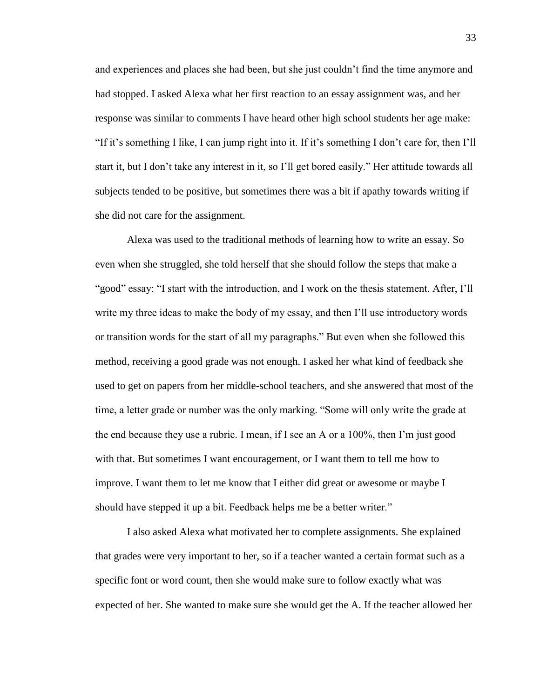and experiences and places she had been, but she just couldn"t find the time anymore and had stopped. I asked Alexa what her first reaction to an essay assignment was, and her response was similar to comments I have heard other high school students her age make: "If it"s something I like, I can jump right into it. If it"s something I don"t care for, then I"ll start it, but I don"t take any interest in it, so I"ll get bored easily." Her attitude towards all subjects tended to be positive, but sometimes there was a bit if apathy towards writing if she did not care for the assignment.

Alexa was used to the traditional methods of learning how to write an essay. So even when she struggled, she told herself that she should follow the steps that make a "good" essay: "I start with the introduction, and I work on the thesis statement. After, I"ll write my three ideas to make the body of my essay, and then I"ll use introductory words or transition words for the start of all my paragraphs." But even when she followed this method, receiving a good grade was not enough. I asked her what kind of feedback she used to get on papers from her middle-school teachers, and she answered that most of the time, a letter grade or number was the only marking. "Some will only write the grade at the end because they use a rubric. I mean, if I see an A or a 100%, then I"m just good with that. But sometimes I want encouragement, or I want them to tell me how to improve. I want them to let me know that I either did great or awesome or maybe I should have stepped it up a bit. Feedback helps me be a better writer."

I also asked Alexa what motivated her to complete assignments. She explained that grades were very important to her, so if a teacher wanted a certain format such as a specific font or word count, then she would make sure to follow exactly what was expected of her. She wanted to make sure she would get the A. If the teacher allowed her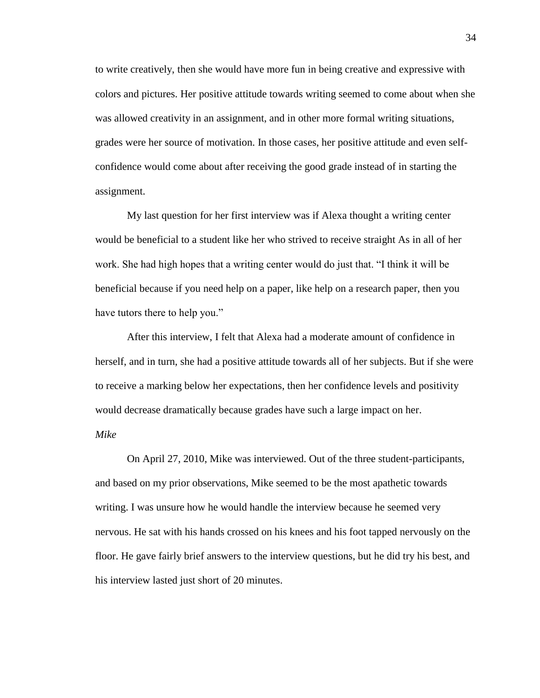to write creatively, then she would have more fun in being creative and expressive with colors and pictures. Her positive attitude towards writing seemed to come about when she was allowed creativity in an assignment, and in other more formal writing situations, grades were her source of motivation. In those cases, her positive attitude and even selfconfidence would come about after receiving the good grade instead of in starting the assignment.

My last question for her first interview was if Alexa thought a writing center would be beneficial to a student like her who strived to receive straight As in all of her work. She had high hopes that a writing center would do just that. "I think it will be beneficial because if you need help on a paper, like help on a research paper, then you have tutors there to help you."

After this interview, I felt that Alexa had a moderate amount of confidence in herself, and in turn, she had a positive attitude towards all of her subjects. But if she were to receive a marking below her expectations, then her confidence levels and positivity would decrease dramatically because grades have such a large impact on her. *Mike*

On April 27, 2010, Mike was interviewed. Out of the three student-participants, and based on my prior observations, Mike seemed to be the most apathetic towards writing. I was unsure how he would handle the interview because he seemed very nervous. He sat with his hands crossed on his knees and his foot tapped nervously on the floor. He gave fairly brief answers to the interview questions, but he did try his best, and his interview lasted just short of 20 minutes.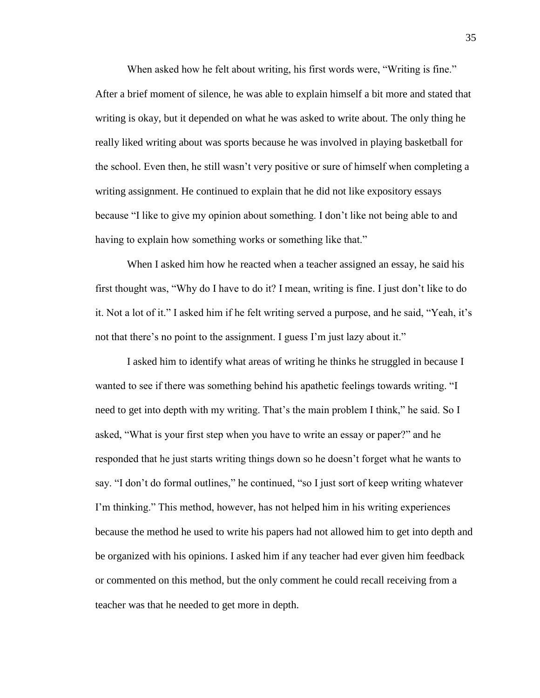When asked how he felt about writing, his first words were, "Writing is fine." After a brief moment of silence, he was able to explain himself a bit more and stated that writing is okay, but it depended on what he was asked to write about. The only thing he really liked writing about was sports because he was involved in playing basketball for the school. Even then, he still wasn"t very positive or sure of himself when completing a writing assignment. He continued to explain that he did not like expository essays because "I like to give my opinion about something. I don"t like not being able to and having to explain how something works or something like that."

When I asked him how he reacted when a teacher assigned an essay, he said his first thought was, "Why do I have to do it? I mean, writing is fine. I just don"t like to do it. Not a lot of it." I asked him if he felt writing served a purpose, and he said, "Yeah, it"s not that there's no point to the assignment. I guess I'm just lazy about it."

I asked him to identify what areas of writing he thinks he struggled in because I wanted to see if there was something behind his apathetic feelings towards writing. "I need to get into depth with my writing. That's the main problem I think," he said. So I asked, "What is your first step when you have to write an essay or paper?" and he responded that he just starts writing things down so he doesn"t forget what he wants to say. "I don't do formal outlines," he continued, "so I just sort of keep writing whatever I"m thinking." This method, however, has not helped him in his writing experiences because the method he used to write his papers had not allowed him to get into depth and be organized with his opinions. I asked him if any teacher had ever given him feedback or commented on this method, but the only comment he could recall receiving from a teacher was that he needed to get more in depth.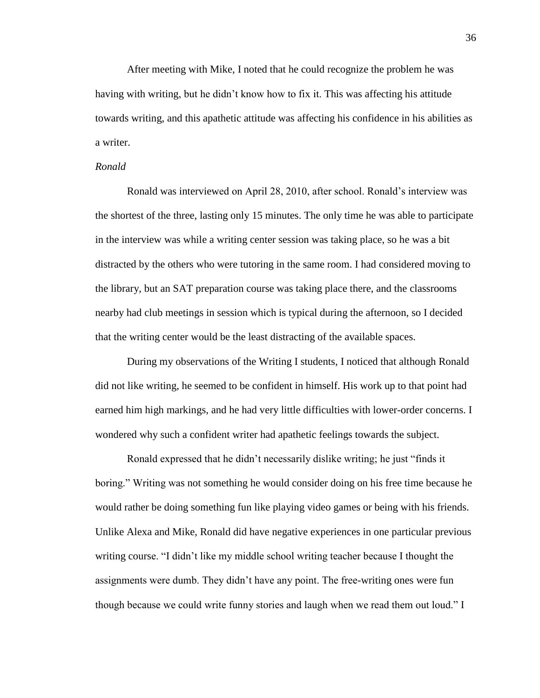After meeting with Mike, I noted that he could recognize the problem he was having with writing, but he didn"t know how to fix it. This was affecting his attitude towards writing, and this apathetic attitude was affecting his confidence in his abilities as a writer.

### *Ronald*

Ronald was interviewed on April 28, 2010, after school. Ronald"s interview was the shortest of the three, lasting only 15 minutes. The only time he was able to participate in the interview was while a writing center session was taking place, so he was a bit distracted by the others who were tutoring in the same room. I had considered moving to the library, but an SAT preparation course was taking place there, and the classrooms nearby had club meetings in session which is typical during the afternoon, so I decided that the writing center would be the least distracting of the available spaces.

During my observations of the Writing I students, I noticed that although Ronald did not like writing, he seemed to be confident in himself. His work up to that point had earned him high markings, and he had very little difficulties with lower-order concerns. I wondered why such a confident writer had apathetic feelings towards the subject.

Ronald expressed that he didn"t necessarily dislike writing; he just "finds it boring." Writing was not something he would consider doing on his free time because he would rather be doing something fun like playing video games or being with his friends. Unlike Alexa and Mike, Ronald did have negative experiences in one particular previous writing course. "I didn"t like my middle school writing teacher because I thought the assignments were dumb. They didn"t have any point. The free-writing ones were fun though because we could write funny stories and laugh when we read them out loud." I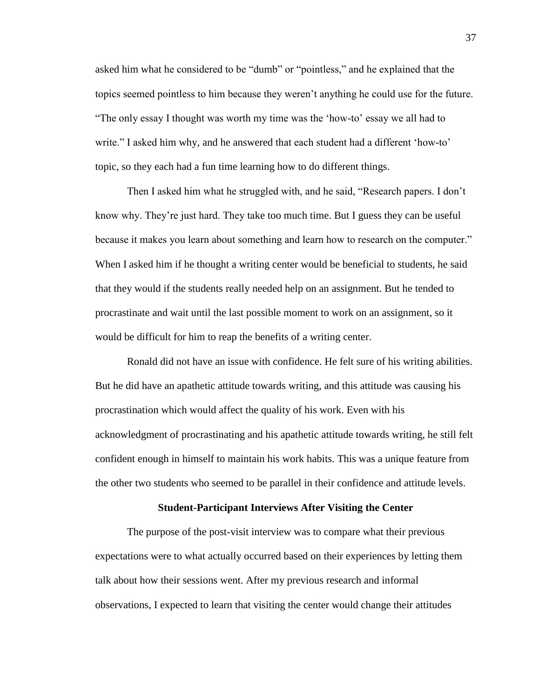asked him what he considered to be "dumb" or "pointless," and he explained that the topics seemed pointless to him because they weren"t anything he could use for the future. "The only essay I thought was worth my time was the "how-to" essay we all had to write." I asked him why, and he answered that each student had a different 'how-to' topic, so they each had a fun time learning how to do different things.

Then I asked him what he struggled with, and he said, "Research papers. I don"t know why. They"re just hard. They take too much time. But I guess they can be useful because it makes you learn about something and learn how to research on the computer." When I asked him if he thought a writing center would be beneficial to students, he said that they would if the students really needed help on an assignment. But he tended to procrastinate and wait until the last possible moment to work on an assignment, so it would be difficult for him to reap the benefits of a writing center.

Ronald did not have an issue with confidence. He felt sure of his writing abilities. But he did have an apathetic attitude towards writing, and this attitude was causing his procrastination which would affect the quality of his work. Even with his acknowledgment of procrastinating and his apathetic attitude towards writing, he still felt confident enough in himself to maintain his work habits. This was a unique feature from the other two students who seemed to be parallel in their confidence and attitude levels.

### **Student-Participant Interviews After Visiting the Center**

The purpose of the post-visit interview was to compare what their previous expectations were to what actually occurred based on their experiences by letting them talk about how their sessions went. After my previous research and informal observations, I expected to learn that visiting the center would change their attitudes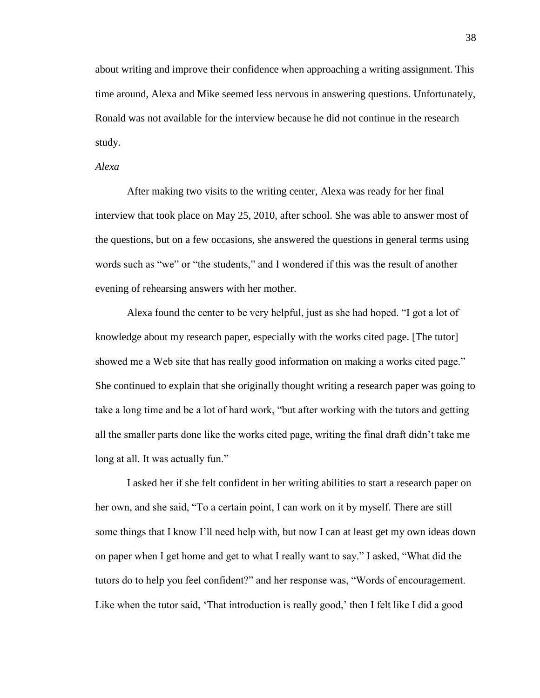about writing and improve their confidence when approaching a writing assignment. This time around, Alexa and Mike seemed less nervous in answering questions. Unfortunately, Ronald was not available for the interview because he did not continue in the research study.

# *Alexa*

After making two visits to the writing center, Alexa was ready for her final interview that took place on May 25, 2010, after school. She was able to answer most of the questions, but on a few occasions, she answered the questions in general terms using words such as "we" or "the students," and I wondered if this was the result of another evening of rehearsing answers with her mother.

Alexa found the center to be very helpful, just as she had hoped. "I got a lot of knowledge about my research paper, especially with the works cited page. [The tutor] showed me a Web site that has really good information on making a works cited page." She continued to explain that she originally thought writing a research paper was going to take a long time and be a lot of hard work, "but after working with the tutors and getting all the smaller parts done like the works cited page, writing the final draft didn"t take me long at all. It was actually fun."

I asked her if she felt confident in her writing abilities to start a research paper on her own, and she said, "To a certain point, I can work on it by myself. There are still some things that I know I"ll need help with, but now I can at least get my own ideas down on paper when I get home and get to what I really want to say." I asked, "What did the tutors do to help you feel confident?" and her response was, "Words of encouragement. Like when the tutor said, 'That introduction is really good,' then I felt like I did a good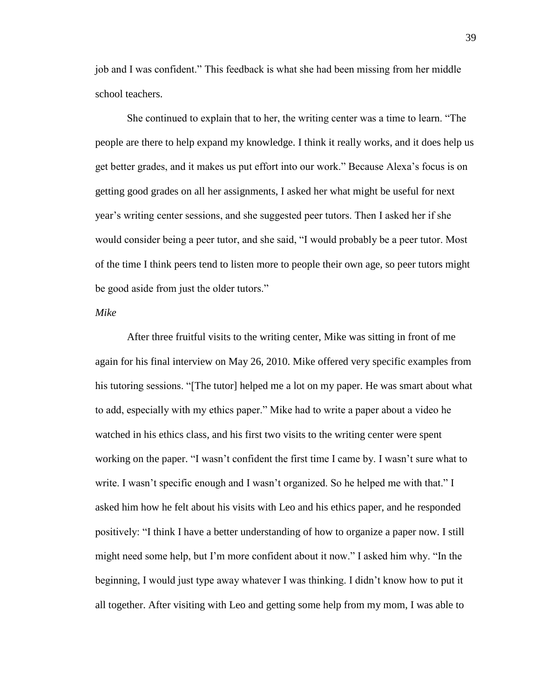job and I was confident." This feedback is what she had been missing from her middle school teachers.

She continued to explain that to her, the writing center was a time to learn. "The people are there to help expand my knowledge. I think it really works, and it does help us get better grades, and it makes us put effort into our work." Because Alexa"s focus is on getting good grades on all her assignments, I asked her what might be useful for next year"s writing center sessions, and she suggested peer tutors. Then I asked her if she would consider being a peer tutor, and she said, "I would probably be a peer tutor. Most of the time I think peers tend to listen more to people their own age, so peer tutors might be good aside from just the older tutors."

# *Mike*

After three fruitful visits to the writing center, Mike was sitting in front of me again for his final interview on May 26, 2010. Mike offered very specific examples from his tutoring sessions. "[The tutor] helped me a lot on my paper. He was smart about what to add, especially with my ethics paper." Mike had to write a paper about a video he watched in his ethics class, and his first two visits to the writing center were spent working on the paper. "I wasn"t confident the first time I came by. I wasn"t sure what to write. I wasn't specific enough and I wasn't organized. So he helped me with that." I asked him how he felt about his visits with Leo and his ethics paper, and he responded positively: "I think I have a better understanding of how to organize a paper now. I still might need some help, but I"m more confident about it now." I asked him why. "In the beginning, I would just type away whatever I was thinking. I didn"t know how to put it all together. After visiting with Leo and getting some help from my mom, I was able to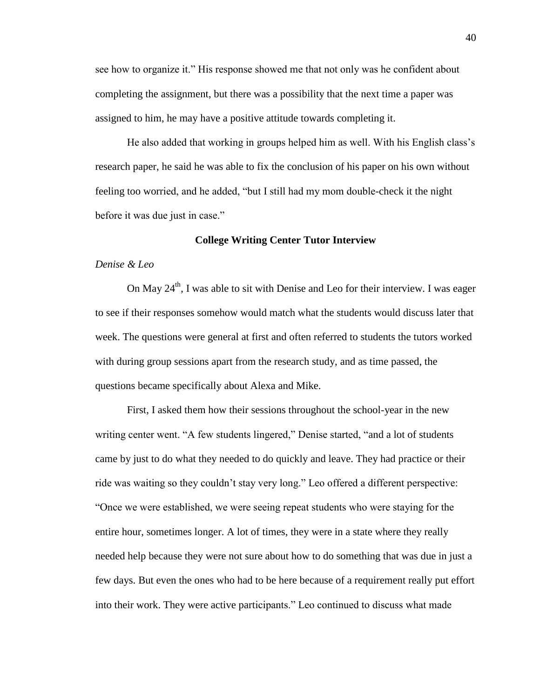see how to organize it." His response showed me that not only was he confident about completing the assignment, but there was a possibility that the next time a paper was assigned to him, he may have a positive attitude towards completing it.

He also added that working in groups helped him as well. With his English class"s research paper, he said he was able to fix the conclusion of his paper on his own without feeling too worried, and he added, "but I still had my mom double-check it the night before it was due just in case."

## **College Writing Center Tutor Interview**

### *Denise & Leo*

On May  $24<sup>th</sup>$ , I was able to sit with Denise and Leo for their interview. I was eager to see if their responses somehow would match what the students would discuss later that week. The questions were general at first and often referred to students the tutors worked with during group sessions apart from the research study, and as time passed, the questions became specifically about Alexa and Mike.

First, I asked them how their sessions throughout the school-year in the new writing center went. "A few students lingered," Denise started, "and a lot of students came by just to do what they needed to do quickly and leave. They had practice or their ride was waiting so they couldn"t stay very long." Leo offered a different perspective: "Once we were established, we were seeing repeat students who were staying for the entire hour, sometimes longer. A lot of times, they were in a state where they really needed help because they were not sure about how to do something that was due in just a few days. But even the ones who had to be here because of a requirement really put effort into their work. They were active participants." Leo continued to discuss what made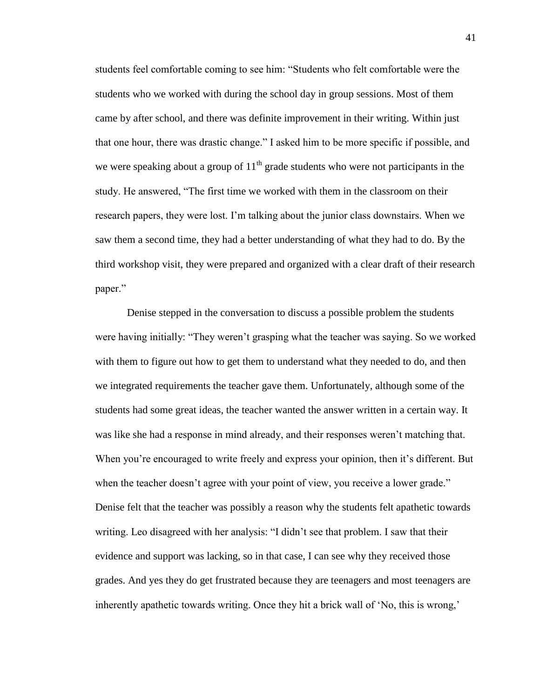students feel comfortable coming to see him: "Students who felt comfortable were the students who we worked with during the school day in group sessions. Most of them came by after school, and there was definite improvement in their writing. Within just that one hour, there was drastic change." I asked him to be more specific if possible, and we were speaking about a group of  $11<sup>th</sup>$  grade students who were not participants in the study. He answered, "The first time we worked with them in the classroom on their research papers, they were lost. I"m talking about the junior class downstairs. When we saw them a second time, they had a better understanding of what they had to do. By the third workshop visit, they were prepared and organized with a clear draft of their research paper."

Denise stepped in the conversation to discuss a possible problem the students were having initially: "They weren"t grasping what the teacher was saying. So we worked with them to figure out how to get them to understand what they needed to do, and then we integrated requirements the teacher gave them. Unfortunately, although some of the students had some great ideas, the teacher wanted the answer written in a certain way. It was like she had a response in mind already, and their responses weren"t matching that. When you're encouraged to write freely and express your opinion, then it's different. But when the teacher doesn't agree with your point of view, you receive a lower grade." Denise felt that the teacher was possibly a reason why the students felt apathetic towards writing. Leo disagreed with her analysis: "I didn"t see that problem. I saw that their evidence and support was lacking, so in that case, I can see why they received those grades. And yes they do get frustrated because they are teenagers and most teenagers are inherently apathetic towards writing. Once they hit a brick wall of 'No, this is wrong,'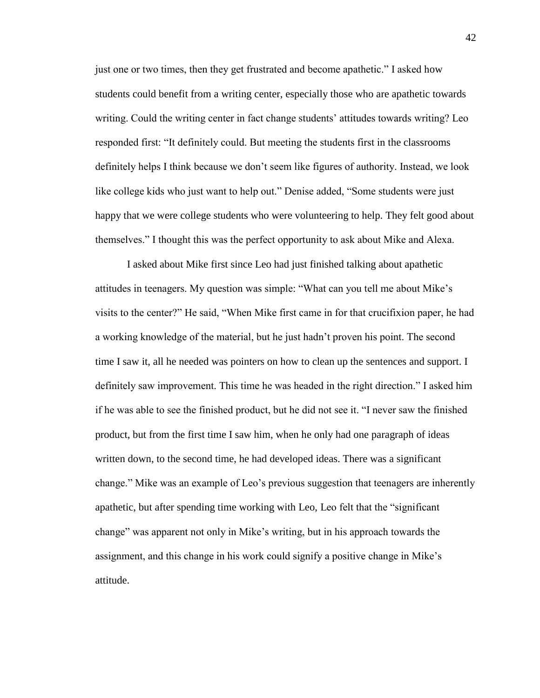just one or two times, then they get frustrated and become apathetic." I asked how students could benefit from a writing center, especially those who are apathetic towards writing. Could the writing center in fact change students' attitudes towards writing? Leo responded first: "It definitely could. But meeting the students first in the classrooms definitely helps I think because we don"t seem like figures of authority. Instead, we look like college kids who just want to help out." Denise added, "Some students were just happy that we were college students who were volunteering to help. They felt good about themselves." I thought this was the perfect opportunity to ask about Mike and Alexa.

I asked about Mike first since Leo had just finished talking about apathetic attitudes in teenagers. My question was simple: "What can you tell me about Mike"s visits to the center?" He said, "When Mike first came in for that crucifixion paper, he had a working knowledge of the material, but he just hadn"t proven his point. The second time I saw it, all he needed was pointers on how to clean up the sentences and support. I definitely saw improvement. This time he was headed in the right direction." I asked him if he was able to see the finished product, but he did not see it. "I never saw the finished product, but from the first time I saw him, when he only had one paragraph of ideas written down, to the second time, he had developed ideas. There was a significant change." Mike was an example of Leo"s previous suggestion that teenagers are inherently apathetic, but after spending time working with Leo, Leo felt that the "significant change" was apparent not only in Mike"s writing, but in his approach towards the assignment, and this change in his work could signify a positive change in Mike"s attitude.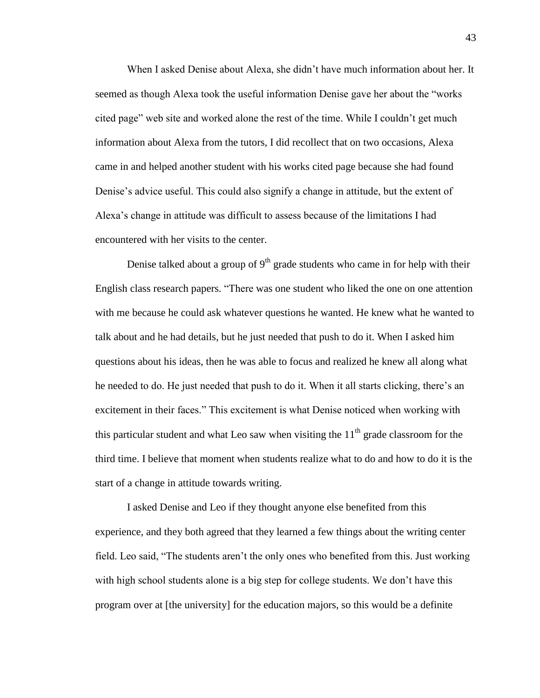When I asked Denise about Alexa, she didn"t have much information about her. It seemed as though Alexa took the useful information Denise gave her about the "works cited page" web site and worked alone the rest of the time. While I couldn"t get much information about Alexa from the tutors, I did recollect that on two occasions, Alexa came in and helped another student with his works cited page because she had found Denise's advice useful. This could also signify a change in attitude, but the extent of Alexa"s change in attitude was difficult to assess because of the limitations I had encountered with her visits to the center.

Denise talked about a group of  $9<sup>th</sup>$  grade students who came in for help with their English class research papers. "There was one student who liked the one on one attention with me because he could ask whatever questions he wanted. He knew what he wanted to talk about and he had details, but he just needed that push to do it. When I asked him questions about his ideas, then he was able to focus and realized he knew all along what he needed to do. He just needed that push to do it. When it all starts clicking, there"s an excitement in their faces." This excitement is what Denise noticed when working with this particular student and what Leo saw when visiting the  $11<sup>th</sup>$  grade classroom for the third time. I believe that moment when students realize what to do and how to do it is the start of a change in attitude towards writing.

I asked Denise and Leo if they thought anyone else benefited from this experience, and they both agreed that they learned a few things about the writing center field. Leo said, "The students aren"t the only ones who benefited from this. Just working with high school students alone is a big step for college students. We don't have this program over at [the university] for the education majors, so this would be a definite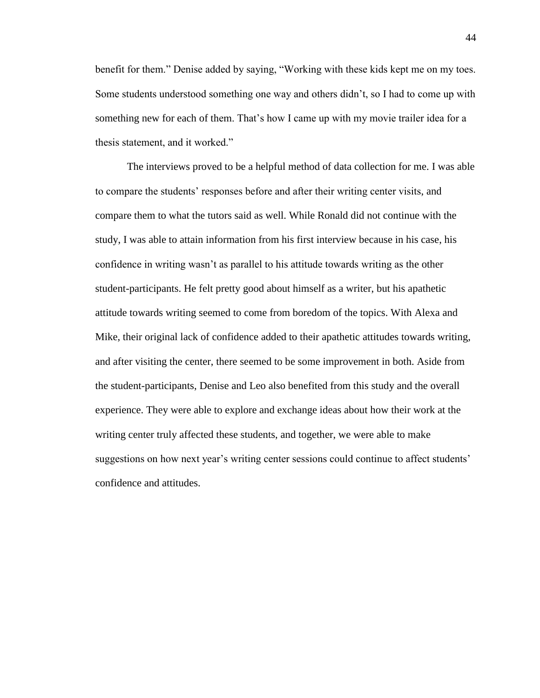benefit for them." Denise added by saying, "Working with these kids kept me on my toes. Some students understood something one way and others didn"t, so I had to come up with something new for each of them. That's how I came up with my movie trailer idea for a thesis statement, and it worked."

The interviews proved to be a helpful method of data collection for me. I was able to compare the students" responses before and after their writing center visits, and compare them to what the tutors said as well. While Ronald did not continue with the study, I was able to attain information from his first interview because in his case, his confidence in writing wasn"t as parallel to his attitude towards writing as the other student-participants. He felt pretty good about himself as a writer, but his apathetic attitude towards writing seemed to come from boredom of the topics. With Alexa and Mike, their original lack of confidence added to their apathetic attitudes towards writing, and after visiting the center, there seemed to be some improvement in both. Aside from the student-participants, Denise and Leo also benefited from this study and the overall experience. They were able to explore and exchange ideas about how their work at the writing center truly affected these students, and together, we were able to make suggestions on how next year's writing center sessions could continue to affect students' confidence and attitudes.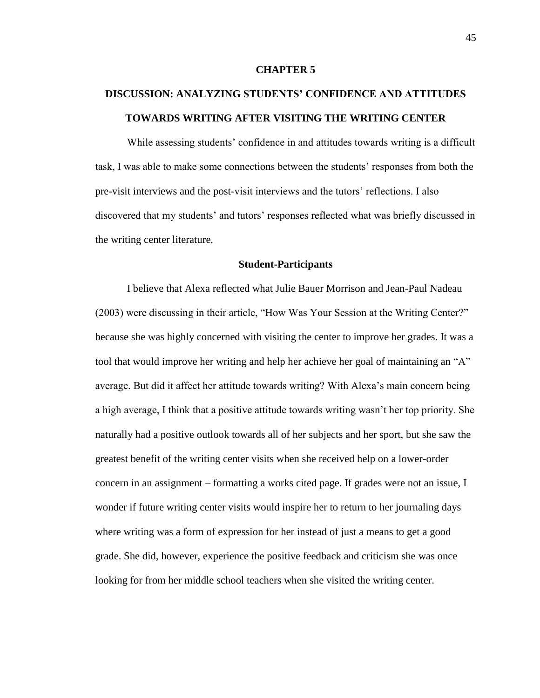### **CHAPTER 5**

# **DISCUSSION: ANALYZING STUDENTS' CONFIDENCE AND ATTITUDES TOWARDS WRITING AFTER VISITING THE WRITING CENTER**

While assessing students" confidence in and attitudes towards writing is a difficult task, I was able to make some connections between the students" responses from both the pre-visit interviews and the post-visit interviews and the tutors" reflections. I also discovered that my students' and tutors' responses reflected what was briefly discussed in the writing center literature.

### **Student-Participants**

I believe that Alexa reflected what Julie Bauer Morrison and Jean-Paul Nadeau (2003) were discussing in their article, "How Was Your Session at the Writing Center?" because she was highly concerned with visiting the center to improve her grades. It was a tool that would improve her writing and help her achieve her goal of maintaining an "A" average. But did it affect her attitude towards writing? With Alexa"s main concern being a high average, I think that a positive attitude towards writing wasn"t her top priority. She naturally had a positive outlook towards all of her subjects and her sport, but she saw the greatest benefit of the writing center visits when she received help on a lower-order concern in an assignment – formatting a works cited page. If grades were not an issue, I wonder if future writing center visits would inspire her to return to her journaling days where writing was a form of expression for her instead of just a means to get a good grade. She did, however, experience the positive feedback and criticism she was once looking for from her middle school teachers when she visited the writing center.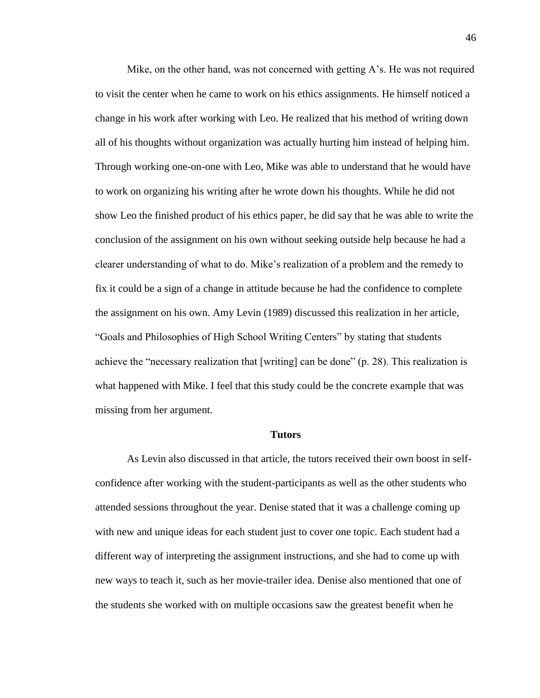Mike, on the other hand, was not concerned with getting  $A$ 's. He was not required to visit the center when he came to work on his ethics assignments. He himself noticed a change in his work after working with Leo. He realized that his method of writing down all of his thoughts without organization was actually hurting him instead of helping him. Through working one-on-one with Leo, Mike was able to understand that he would have to work on organizing his writing after he wrote down his thoughts. While he did not show Leo the finished product of his ethics paper, he did say that he was able to write the conclusion of the assignment on his own without seeking outside help because he had a clearer understanding of what to do. Mike"s realization of a problem and the remedy to fix it could be a sign of a change in attitude because he had the confidence to complete the assignment on his own. Amy Levin (1989) discussed this realization in her article, "Goals and Philosophies of High School Writing Centers" by stating that students achieve the "necessary realization that [writing] can be done" (p. 28). This realization is what happened with Mike. I feel that this study could be the concrete example that was missing from her argument.

#### **Tutors**

As Levin also discussed in that article, the tutors received their own boost in selfconfidence after working with the student-participants as well as the other students who attended sessions throughout the year. Denise stated that it was a challenge coming up with new and unique ideas for each student just to cover one topic. Each student had a different way of interpreting the assignment instructions, and she had to come up with new ways to teach it, such as her movie-trailer idea. Denise also mentioned that one of the students she worked with on multiple occasions saw the greatest benefit when he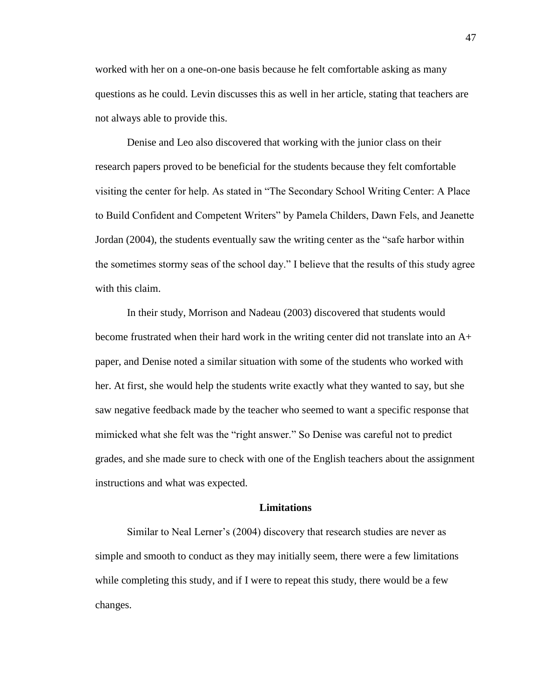worked with her on a one-on-one basis because he felt comfortable asking as many questions as he could. Levin discusses this as well in her article, stating that teachers are not always able to provide this.

Denise and Leo also discovered that working with the junior class on their research papers proved to be beneficial for the students because they felt comfortable visiting the center for help. As stated in "The Secondary School Writing Center: A Place to Build Confident and Competent Writers" by Pamela Childers, Dawn Fels, and Jeanette Jordan (2004), the students eventually saw the writing center as the "safe harbor within the sometimes stormy seas of the school day." I believe that the results of this study agree with this claim.

In their study, Morrison and Nadeau (2003) discovered that students would become frustrated when their hard work in the writing center did not translate into an A+ paper, and Denise noted a similar situation with some of the students who worked with her. At first, she would help the students write exactly what they wanted to say, but she saw negative feedback made by the teacher who seemed to want a specific response that mimicked what she felt was the "right answer." So Denise was careful not to predict grades, and she made sure to check with one of the English teachers about the assignment instructions and what was expected.

### **Limitations**

Similar to Neal Lerner's (2004) discovery that research studies are never as simple and smooth to conduct as they may initially seem, there were a few limitations while completing this study, and if I were to repeat this study, there would be a few changes.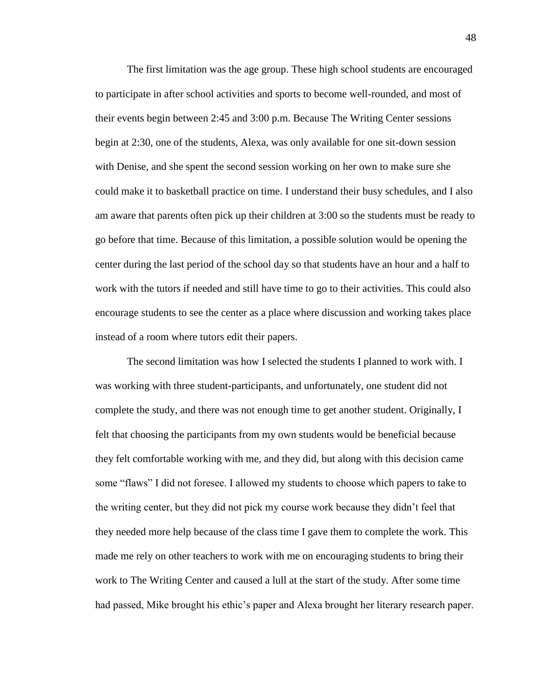The first limitation was the age group. These high school students are encouraged to participate in after school activities and sports to become well-rounded, and most of their events begin between 2:45 and 3:00 p.m. Because The Writing Center sessions begin at 2:30, one of the students, Alexa, was only available for one sit-down session with Denise, and she spent the second session working on her own to make sure she could make it to basketball practice on time. I understand their busy schedules, and I also am aware that parents often pick up their children at 3:00 so the students must be ready to go before that time. Because of this limitation, a possible solution would be opening the center during the last period of the school day so that students have an hour and a half to work with the tutors if needed and still have time to go to their activities. This could also encourage students to see the center as a place where discussion and working takes place instead of a room where tutors edit their papers.

The second limitation was how I selected the students I planned to work with. I was working with three student-participants, and unfortunately, one student did not complete the study, and there was not enough time to get another student. Originally, I felt that choosing the participants from my own students would be beneficial because they felt comfortable working with me, and they did, but along with this decision came some "flaws" I did not foresee. I allowed my students to choose which papers to take to the writing center, but they did not pick my course work because they didn"t feel that they needed more help because of the class time I gave them to complete the work. This made me rely on other teachers to work with me on encouraging students to bring their work to The Writing Center and caused a lull at the start of the study. After some time had passed, Mike brought his ethic"s paper and Alexa brought her literary research paper.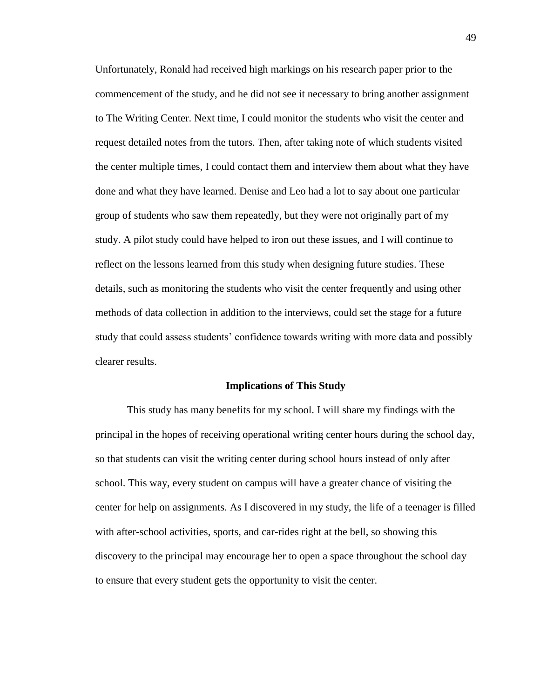Unfortunately, Ronald had received high markings on his research paper prior to the commencement of the study, and he did not see it necessary to bring another assignment to The Writing Center. Next time, I could monitor the students who visit the center and request detailed notes from the tutors. Then, after taking note of which students visited the center multiple times, I could contact them and interview them about what they have done and what they have learned. Denise and Leo had a lot to say about one particular group of students who saw them repeatedly, but they were not originally part of my study. A pilot study could have helped to iron out these issues, and I will continue to reflect on the lessons learned from this study when designing future studies. These details, such as monitoring the students who visit the center frequently and using other methods of data collection in addition to the interviews, could set the stage for a future study that could assess students" confidence towards writing with more data and possibly clearer results.

### **Implications of This Study**

This study has many benefits for my school. I will share my findings with the principal in the hopes of receiving operational writing center hours during the school day, so that students can visit the writing center during school hours instead of only after school. This way, every student on campus will have a greater chance of visiting the center for help on assignments. As I discovered in my study, the life of a teenager is filled with after-school activities, sports, and car-rides right at the bell, so showing this discovery to the principal may encourage her to open a space throughout the school day to ensure that every student gets the opportunity to visit the center.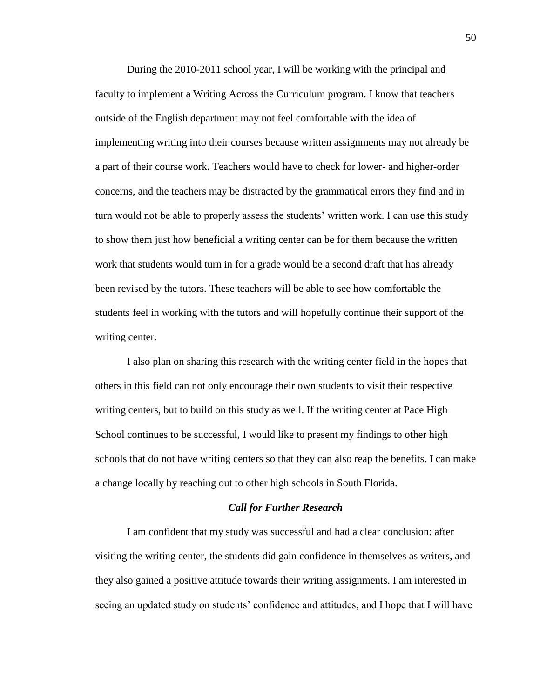During the 2010-2011 school year, I will be working with the principal and faculty to implement a Writing Across the Curriculum program. I know that teachers outside of the English department may not feel comfortable with the idea of implementing writing into their courses because written assignments may not already be a part of their course work. Teachers would have to check for lower- and higher-order concerns, and the teachers may be distracted by the grammatical errors they find and in turn would not be able to properly assess the students" written work. I can use this study to show them just how beneficial a writing center can be for them because the written work that students would turn in for a grade would be a second draft that has already been revised by the tutors. These teachers will be able to see how comfortable the students feel in working with the tutors and will hopefully continue their support of the writing center.

I also plan on sharing this research with the writing center field in the hopes that others in this field can not only encourage their own students to visit their respective writing centers, but to build on this study as well. If the writing center at Pace High School continues to be successful, I would like to present my findings to other high schools that do not have writing centers so that they can also reap the benefits. I can make a change locally by reaching out to other high schools in South Florida.

### *Call for Further Research*

I am confident that my study was successful and had a clear conclusion: after visiting the writing center, the students did gain confidence in themselves as writers, and they also gained a positive attitude towards their writing assignments. I am interested in seeing an updated study on students" confidence and attitudes, and I hope that I will have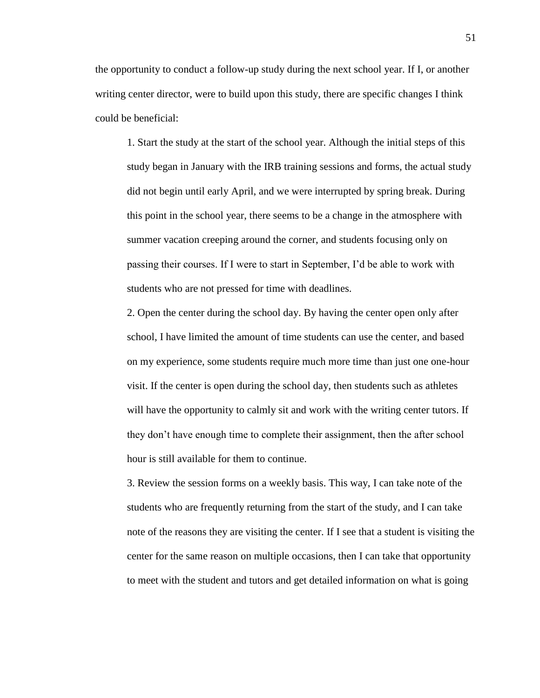the opportunity to conduct a follow-up study during the next school year. If I, or another writing center director, were to build upon this study, there are specific changes I think could be beneficial:

1. Start the study at the start of the school year. Although the initial steps of this study began in January with the IRB training sessions and forms, the actual study did not begin until early April, and we were interrupted by spring break. During this point in the school year, there seems to be a change in the atmosphere with summer vacation creeping around the corner, and students focusing only on passing their courses. If I were to start in September, I"d be able to work with students who are not pressed for time with deadlines.

2. Open the center during the school day. By having the center open only after school, I have limited the amount of time students can use the center, and based on my experience, some students require much more time than just one one-hour visit. If the center is open during the school day, then students such as athletes will have the opportunity to calmly sit and work with the writing center tutors. If they don"t have enough time to complete their assignment, then the after school hour is still available for them to continue.

3. Review the session forms on a weekly basis. This way, I can take note of the students who are frequently returning from the start of the study, and I can take note of the reasons they are visiting the center. If I see that a student is visiting the center for the same reason on multiple occasions, then I can take that opportunity to meet with the student and tutors and get detailed information on what is going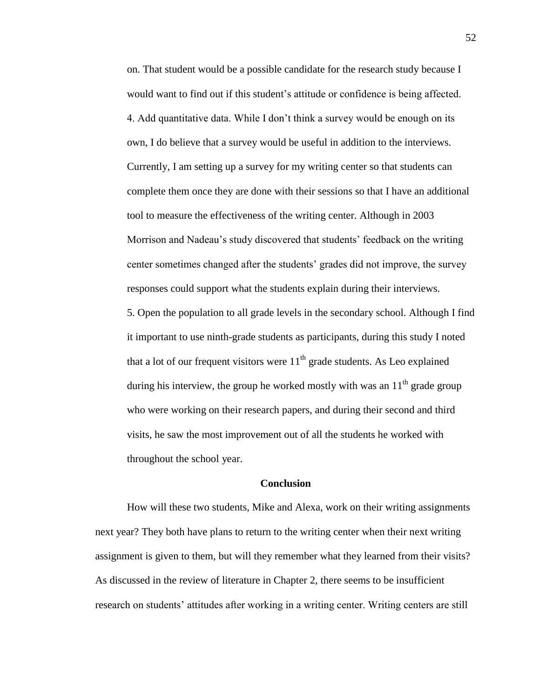on. That student would be a possible candidate for the research study because I would want to find out if this student's attitude or confidence is being affected. 4. Add quantitative data. While I don"t think a survey would be enough on its own, I do believe that a survey would be useful in addition to the interviews. Currently, I am setting up a survey for my writing center so that students can complete them once they are done with their sessions so that I have an additional tool to measure the effectiveness of the writing center. Although in 2003 Morrison and Nadeau"s study discovered that students" feedback on the writing center sometimes changed after the students" grades did not improve, the survey responses could support what the students explain during their interviews. 5. Open the population to all grade levels in the secondary school. Although I find it important to use ninth-grade students as participants, during this study I noted that a lot of our frequent visitors were  $11<sup>th</sup>$  grade students. As Leo explained during his interview, the group he worked mostly with was an  $11<sup>th</sup>$  grade group who were working on their research papers, and during their second and third visits, he saw the most improvement out of all the students he worked with throughout the school year.

### **Conclusion**

How will these two students, Mike and Alexa, work on their writing assignments next year? They both have plans to return to the writing center when their next writing assignment is given to them, but will they remember what they learned from their visits? As discussed in the review of literature in Chapter 2, there seems to be insufficient research on students" attitudes after working in a writing center. Writing centers are still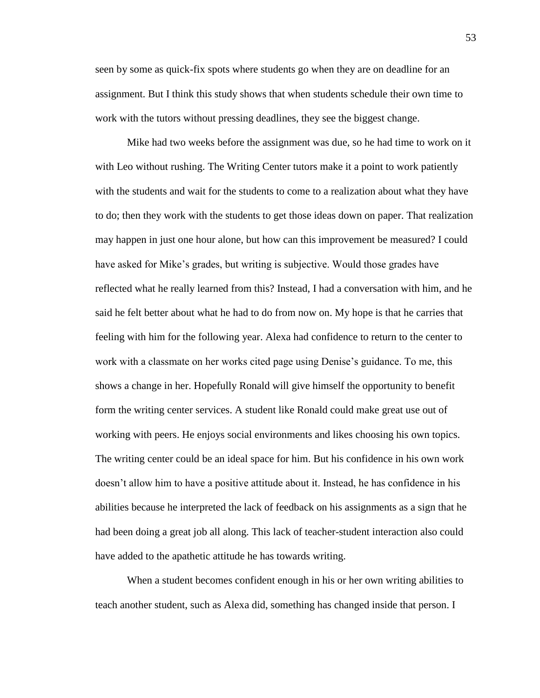seen by some as quick-fix spots where students go when they are on deadline for an assignment. But I think this study shows that when students schedule their own time to work with the tutors without pressing deadlines, they see the biggest change.

Mike had two weeks before the assignment was due, so he had time to work on it with Leo without rushing. The Writing Center tutors make it a point to work patiently with the students and wait for the students to come to a realization about what they have to do; then they work with the students to get those ideas down on paper. That realization may happen in just one hour alone, but how can this improvement be measured? I could have asked for Mike"s grades, but writing is subjective. Would those grades have reflected what he really learned from this? Instead, I had a conversation with him, and he said he felt better about what he had to do from now on. My hope is that he carries that feeling with him for the following year. Alexa had confidence to return to the center to work with a classmate on her works cited page using Denise's guidance. To me, this shows a change in her. Hopefully Ronald will give himself the opportunity to benefit form the writing center services. A student like Ronald could make great use out of working with peers. He enjoys social environments and likes choosing his own topics. The writing center could be an ideal space for him. But his confidence in his own work doesn"t allow him to have a positive attitude about it. Instead, he has confidence in his abilities because he interpreted the lack of feedback on his assignments as a sign that he had been doing a great job all along. This lack of teacher-student interaction also could have added to the apathetic attitude he has towards writing.

When a student becomes confident enough in his or her own writing abilities to teach another student, such as Alexa did, something has changed inside that person. I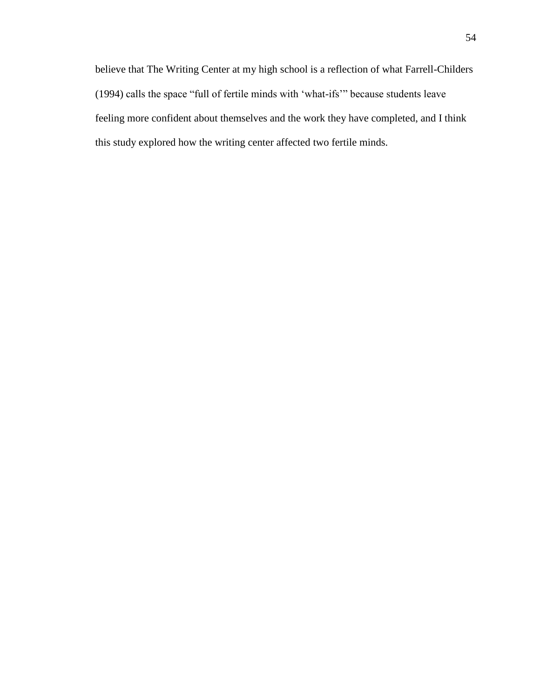believe that The Writing Center at my high school is a reflection of what Farrell-Childers (1994) calls the space "full of fertile minds with "what-ifs"" because students leave feeling more confident about themselves and the work they have completed, and I think this study explored how the writing center affected two fertile minds.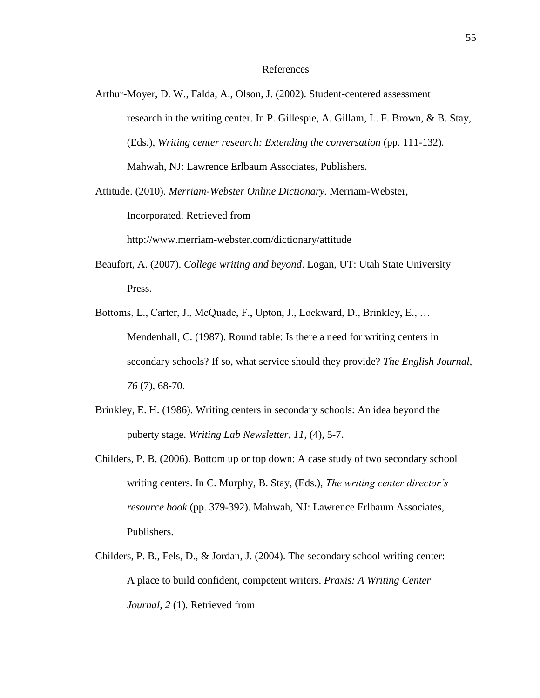### References

- Arthur-Moyer, D. W., Falda, A., Olson, J. (2002). Student-centered assessment research in the writing center. In P. Gillespie, A. Gillam, L. F. Brown, & B. Stay, (Eds.), *Writing center research: Extending the conversation* (pp. 111-132)*.*  Mahwah, NJ: Lawrence Erlbaum Associates, Publishers.
- Attitude. (2010). *Merriam-Webster Online Dictionary.* Merriam-Webster,

Incorporated. Retrieved from

http://www.merriam-webster.com/dictionary/attitude

- Beaufort, A. (2007). *College writing and beyond*. Logan, UT: Utah State University Press.
- Bottoms, L., Carter, J., McQuade, F., Upton, J., Lockward, D., Brinkley, E., … Mendenhall, C. (1987). Round table: Is there a need for writing centers in secondary schools? If so, what service should they provide? *The English Journal, 76* (7), 68-70.
- Brinkley, E. H. (1986). Writing centers in secondary schools: An idea beyond the puberty stage. *Writing Lab Newsletter, 11,* (4), 5-7.
- Childers, P. B. (2006). Bottom up or top down: A case study of two secondary school writing centers. In C. Murphy, B. Stay, (Eds.), *The writing center director's resource book* (pp. 379-392). Mahwah, NJ: Lawrence Erlbaum Associates, Publishers.
- Childers, P. B., Fels, D., & Jordan, J. (2004). The secondary school writing center: A place to build confident, competent writers. *Praxis: A Writing Center Journal, 2* (1). Retrieved from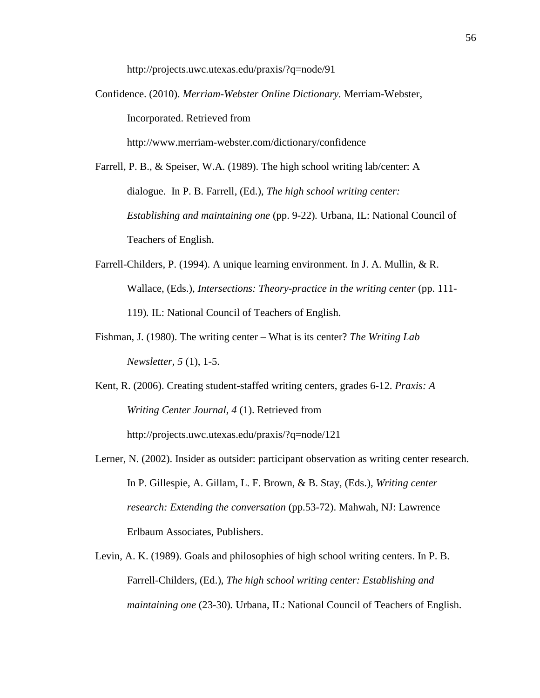http://projects.uwc.utexas.edu/praxis/?q=node/91

Confidence. (2010). *Merriam-Webster Online Dictionary.* Merriam-Webster, Incorporated. Retrieved from

http://www.merriam-webster.com/dictionary/confidence

- Farrell, P. B., & Speiser, W.A. (1989). The high school writing lab/center: A dialogue. In P. B. Farrell, (Ed.), *The high school writing center: Establishing and maintaining one* (pp. 9-22)*.* Urbana, IL: National Council of Teachers of English.
- Farrell-Childers, P. (1994). A unique learning environment. In J. A. Mullin, & R. Wallace, (Eds.), *Intersections: Theory-practice in the writing center* (pp. 111-119)*.* IL: National Council of Teachers of English.
- Fishman, J. (1980). The writing center What is its center? *The Writing Lab Newsletter, 5* (1), 1-5.
- Kent, R. (2006). Creating student-staffed writing centers, grades 6-12. *Praxis: A Writing Center Journal, 4* (1). Retrieved from http://projects.uwc.utexas.edu/praxis/?q=node/121
- Lerner, N. (2002). Insider as outsider: participant observation as writing center research. In P. Gillespie, A. Gillam, L. F. Brown, & B. Stay, (Eds.), *Writing center research: Extending the conversation* (pp.53-72). Mahwah, NJ: Lawrence Erlbaum Associates, Publishers.
- Levin, A. K. (1989). Goals and philosophies of high school writing centers. In P. B. Farrell-Childers, (Ed.), *The high school writing center: Establishing and maintaining one* (23-30)*.* Urbana, IL: National Council of Teachers of English.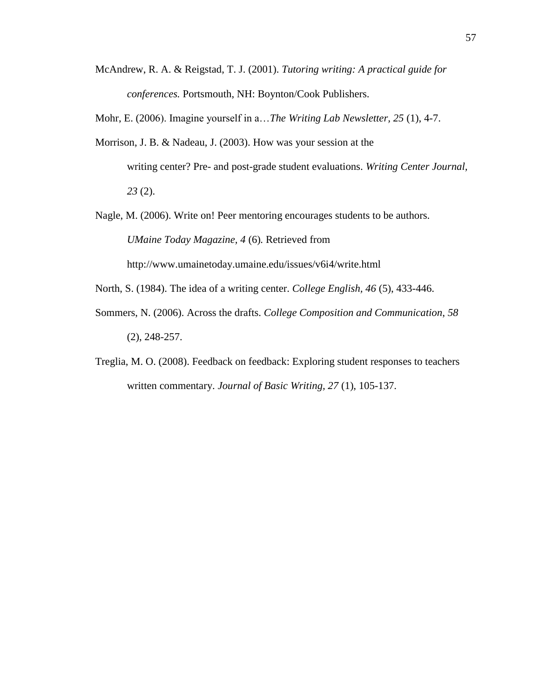McAndrew, R. A. & Reigstad, T. J. (2001). *Tutoring writing: A practical guide for conferences.* Portsmouth, NH: Boynton/Cook Publishers.

Mohr, E. (2006). Imagine yourself in a…*The Writing Lab Newsletter, 25* (1), 4-7.

Morrison, J. B. & Nadeau, J. (2003). How was your session at the writing center? Pre- and post-grade student evaluations. *Writing Center Journal, 23* (2).

Nagle, M. (2006). Write on! Peer mentoring encourages students to be authors. *UMaine Today Magazine, 4* (6)*.* Retrieved from http://www.umainetoday.umaine.edu/issues/v6i4/write.html

North, S. (1984). The idea of a writing center. *College English, 46* (5), 433-446.

- Sommers, N. (2006). Across the drafts. *College Composition and Communication*, *58* (2), 248-257.
- Treglia, M. O. (2008). Feedback on feedback: Exploring student responses to teachers written commentary. *Journal of Basic Writing, 27* (1), 105-137.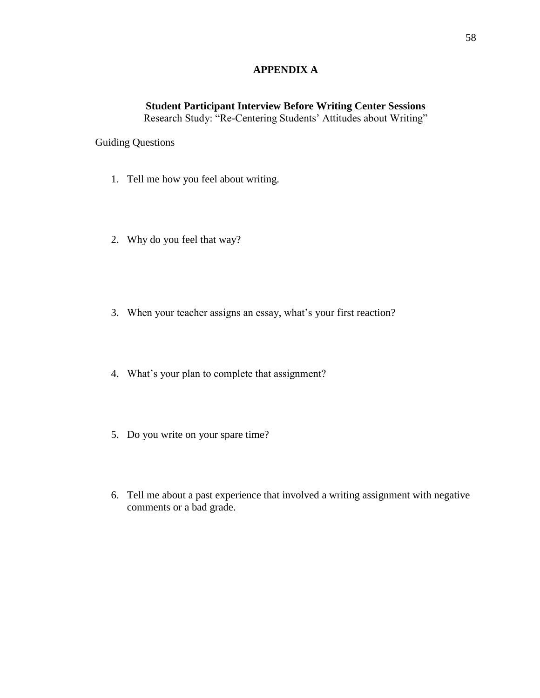# **APPENDIX A**

# **Student Participant Interview Before Writing Center Sessions**

Research Study: "Re-Centering Students' Attitudes about Writing"

Guiding Questions

- 1. Tell me how you feel about writing.
- 2. Why do you feel that way?
- 3. When your teacher assigns an essay, what's your first reaction?
- 4. What"s your plan to complete that assignment?
- 5. Do you write on your spare time?
- 6. Tell me about a past experience that involved a writing assignment with negative comments or a bad grade.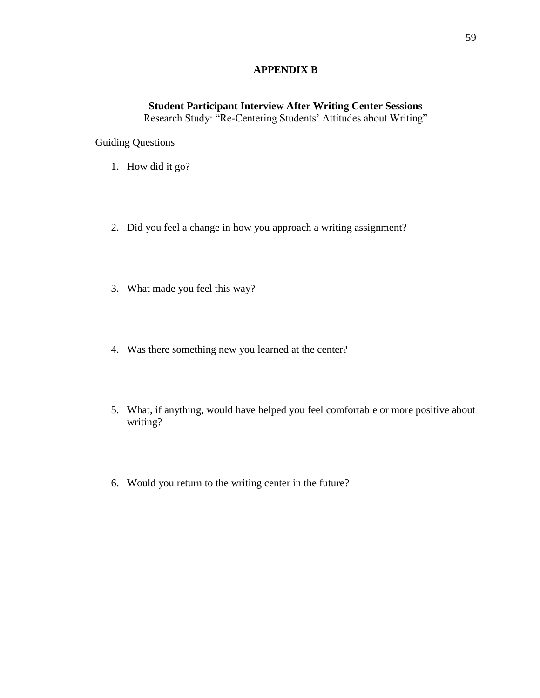# **APPENDIX B**

# **Student Participant Interview After Writing Center Sessions**

Research Study: "Re-Centering Students" Attitudes about Writing"

Guiding Questions

- 1. How did it go?
- 2. Did you feel a change in how you approach a writing assignment?
- 3. What made you feel this way?
- 4. Was there something new you learned at the center?
- 5. What, if anything, would have helped you feel comfortable or more positive about writing?
- 6. Would you return to the writing center in the future?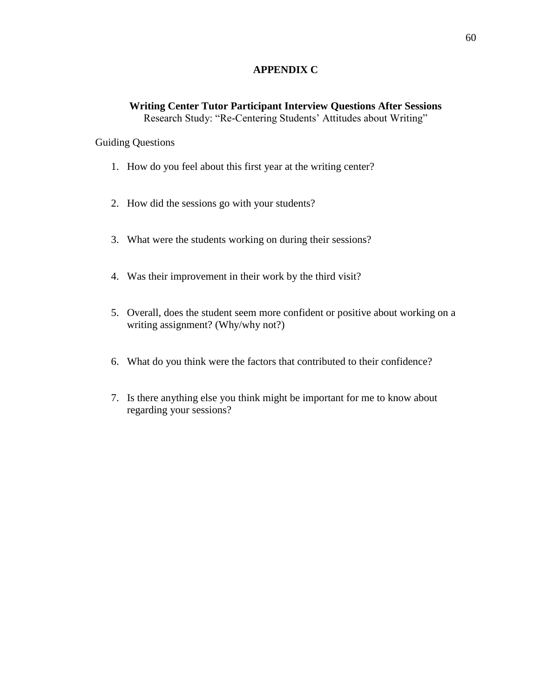# **APPENDIX C**

# **Writing Center Tutor Participant Interview Questions After Sessions** Research Study: "Re-Centering Students' Attitudes about Writing"

# Guiding Questions

- 1. How do you feel about this first year at the writing center?
- 2. How did the sessions go with your students?
- 3. What were the students working on during their sessions?
- 4. Was their improvement in their work by the third visit?
- 5. Overall, does the student seem more confident or positive about working on a writing assignment? (Why/why not?)
- 6. What do you think were the factors that contributed to their confidence?
- 7. Is there anything else you think might be important for me to know about regarding your sessions?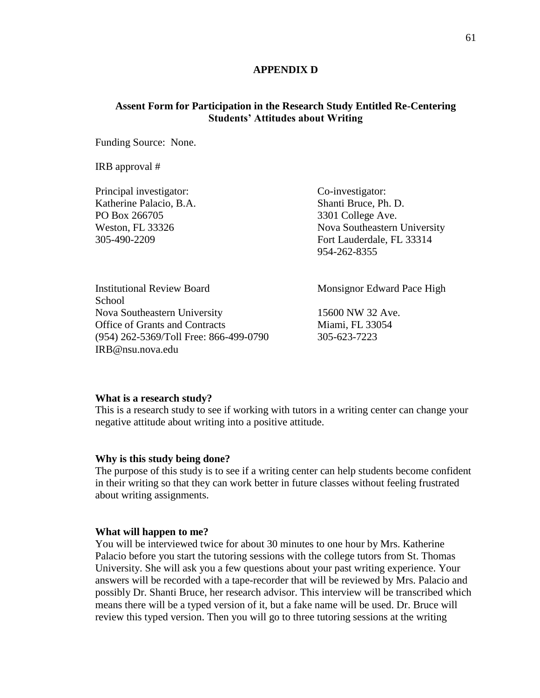# **APPENDIX D**

# **Assent Form for Participation in the Research Study Entitled Re-Centering Students' Attitudes about Writing**

Funding Source: None.

IRB approval #

Principal investigator: Co-investigator: Katherine Palacio, B.A. Shanti Bruce, Ph. D. PO Box 266705 3301 College Ave. Weston, FL 33326 Nova Southeastern University 305-490-2209 Fort Lauderdale, FL 33314

954-262-8355

**School** Nova Southeastern University 15600 NW 32 Ave. Office of Grants and Contracts Miami, FL 33054 (954) 262-5369/Toll Free: 866-499-0790 305-623-7223 IRB@nsu.nova.edu

Institutional Review Board Monsignor Edward Pace High

### **What is a research study?**

This is a research study to see if working with tutors in a writing center can change your negative attitude about writing into a positive attitude.

### **Why is this study being done?**

The purpose of this study is to see if a writing center can help students become confident in their writing so that they can work better in future classes without feeling frustrated about writing assignments.

#### **What will happen to me?**

You will be interviewed twice for about 30 minutes to one hour by Mrs. Katherine Palacio before you start the tutoring sessions with the college tutors from St. Thomas University. She will ask you a few questions about your past writing experience. Your answers will be recorded with a tape-recorder that will be reviewed by Mrs. Palacio and possibly Dr. Shanti Bruce, her research advisor. This interview will be transcribed which means there will be a typed version of it, but a fake name will be used. Dr. Bruce will review this typed version. Then you will go to three tutoring sessions at the writing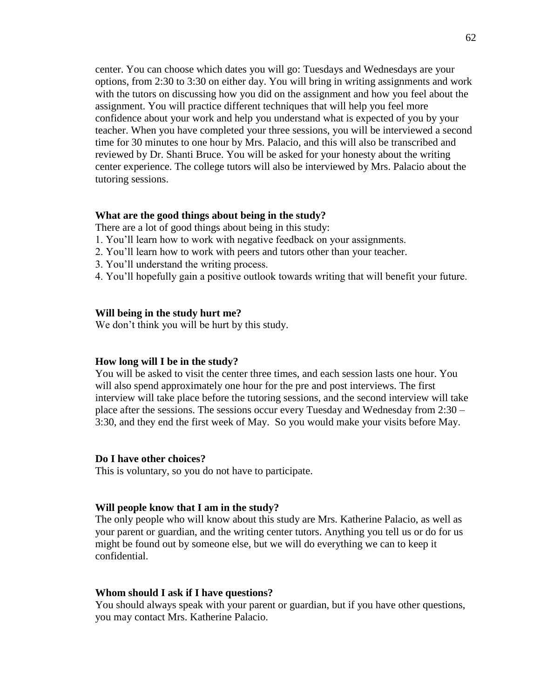center. You can choose which dates you will go: Tuesdays and Wednesdays are your options, from 2:30 to 3:30 on either day. You will bring in writing assignments and work with the tutors on discussing how you did on the assignment and how you feel about the assignment. You will practice different techniques that will help you feel more confidence about your work and help you understand what is expected of you by your teacher. When you have completed your three sessions, you will be interviewed a second time for 30 minutes to one hour by Mrs. Palacio, and this will also be transcribed and reviewed by Dr. Shanti Bruce. You will be asked for your honesty about the writing center experience. The college tutors will also be interviewed by Mrs. Palacio about the tutoring sessions.

### **What are the good things about being in the study?**

- There are a lot of good things about being in this study:
- 1. You"ll learn how to work with negative feedback on your assignments.
- 2. You"ll learn how to work with peers and tutors other than your teacher.
- 3. You"ll understand the writing process.
- 4. You"ll hopefully gain a positive outlook towards writing that will benefit your future.

#### **Will being in the study hurt me?**

We don't think you will be hurt by this study.

### **How long will I be in the study?**

You will be asked to visit the center three times, and each session lasts one hour. You will also spend approximately one hour for the pre and post interviews. The first interview will take place before the tutoring sessions, and the second interview will take place after the sessions. The sessions occur every Tuesday and Wednesday from 2:30 – 3:30, and they end the first week of May. So you would make your visits before May.

#### **Do I have other choices?**

This is voluntary, so you do not have to participate.

#### **Will people know that I am in the study?**

The only people who will know about this study are Mrs. Katherine Palacio, as well as your parent or guardian, and the writing center tutors. Anything you tell us or do for us might be found out by someone else, but we will do everything we can to keep it confidential.

#### **Whom should I ask if I have questions?**

You should always speak with your parent or guardian, but if you have other questions, you may contact Mrs. Katherine Palacio.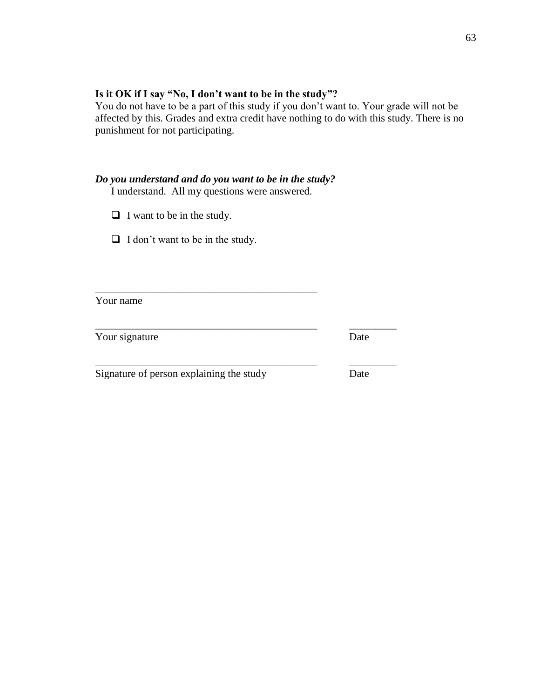# **Is it OK if I say "No, I don't want to be in the study"?**

You do not have to be a part of this study if you don't want to. Your grade will not be affected by this. Grades and extra credit have nothing to do with this study. There is no punishment for not participating.

# *Do you understand and do you want to be in the study?*

I understand. All my questions were answered.

\_\_\_\_\_\_\_\_\_\_\_\_\_\_\_\_\_\_\_\_\_\_\_\_\_\_\_\_\_\_\_\_\_\_\_\_\_\_\_\_\_\_

\_\_\_\_\_\_\_\_\_\_\_\_\_\_\_\_\_\_\_\_\_\_\_\_\_\_\_\_\_\_\_\_\_\_\_\_\_\_\_\_\_\_ \_\_\_\_\_\_\_\_\_

 $\Box$  I want to be in the study.

 $\Box$  I don't want to be in the study.

Your name

Your signature Date

Signature of person explaining the study Date

\_\_\_\_\_\_\_\_\_\_\_\_\_\_\_\_\_\_\_\_\_\_\_\_\_\_\_\_\_\_\_\_\_\_\_\_\_\_\_\_\_\_ \_\_\_\_\_\_\_\_\_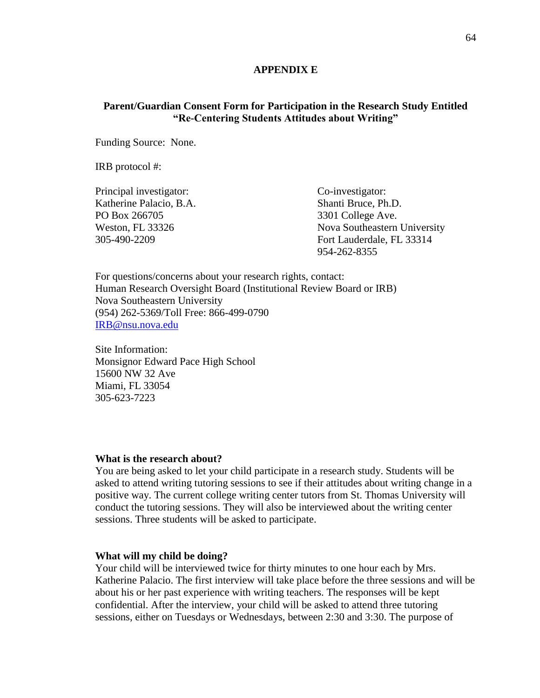### **APPENDIX E**

# **Parent/Guardian Consent Form for Participation in the Research Study Entitled "Re-Centering Students Attitudes about Writing"**

Funding Source: None.

IRB protocol #:

Principal investigator: Co-investigator: Katherine Palacio, B.A. Shanti Bruce, Ph.D. PO Box 266705 3301 College Ave.

Weston, FL 33326 Nova Southeastern University 305-490-2209 Fort Lauderdale, FL 33314 954-262-8355

For questions/concerns about your research rights, contact: Human Research Oversight Board (Institutional Review Board or IRB) Nova Southeastern University (954) 262-5369/Toll Free: 866-499-0790 [IRB@nsu.nova.edu](mailto:IRB@nsu.nova.edu)

Site Information: Monsignor Edward Pace High School 15600 NW 32 Ave Miami, FL 33054 305-623-7223

#### **What is the research about?**

You are being asked to let your child participate in a research study. Students will be asked to attend writing tutoring sessions to see if their attitudes about writing change in a positive way. The current college writing center tutors from St. Thomas University will conduct the tutoring sessions. They will also be interviewed about the writing center sessions. Three students will be asked to participate.

### **What will my child be doing?**

Your child will be interviewed twice for thirty minutes to one hour each by Mrs. Katherine Palacio. The first interview will take place before the three sessions and will be about his or her past experience with writing teachers. The responses will be kept confidential. After the interview, your child will be asked to attend three tutoring sessions, either on Tuesdays or Wednesdays, between 2:30 and 3:30. The purpose of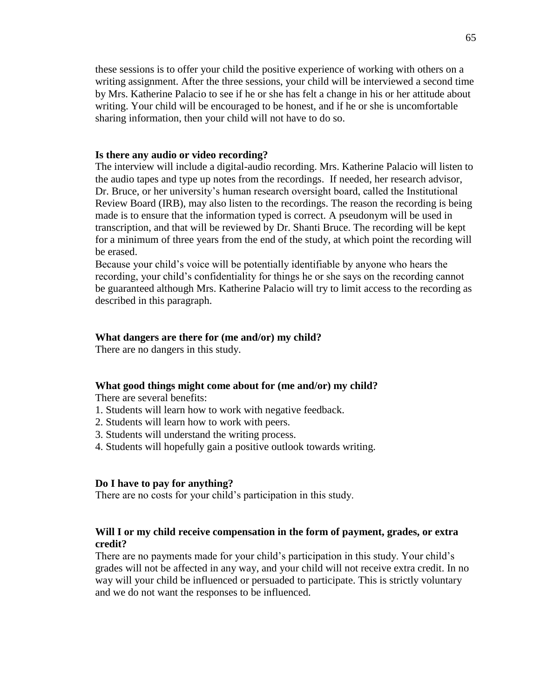these sessions is to offer your child the positive experience of working with others on a writing assignment. After the three sessions, your child will be interviewed a second time by Mrs. Katherine Palacio to see if he or she has felt a change in his or her attitude about writing. Your child will be encouraged to be honest, and if he or she is uncomfortable sharing information, then your child will not have to do so.

### **Is there any audio or video recording?**

The interview will include a digital-audio recording. Mrs. Katherine Palacio will listen to the audio tapes and type up notes from the recordings. If needed, her research advisor, Dr. Bruce, or her university"s human research oversight board, called the Institutional Review Board (IRB), may also listen to the recordings. The reason the recording is being made is to ensure that the information typed is correct. A pseudonym will be used in transcription, and that will be reviewed by Dr. Shanti Bruce. The recording will be kept for a minimum of three years from the end of the study, at which point the recording will be erased.

Because your child"s voice will be potentially identifiable by anyone who hears the recording, your child"s confidentiality for things he or she says on the recording cannot be guaranteed although Mrs. Katherine Palacio will try to limit access to the recording as described in this paragraph.

#### **What dangers are there for (me and/or) my child?**

There are no dangers in this study.

#### **What good things might come about for (me and/or) my child?**

There are several benefits:

- 1. Students will learn how to work with negative feedback.
- 2. Students will learn how to work with peers.
- 3. Students will understand the writing process.
- 4. Students will hopefully gain a positive outlook towards writing.

### **Do I have to pay for anything?**

There are no costs for your child"s participation in this study.

# **Will I or my child receive compensation in the form of payment, grades, or extra credit?**

There are no payments made for your child"s participation in this study. Your child"s grades will not be affected in any way, and your child will not receive extra credit. In no way will your child be influenced or persuaded to participate. This is strictly voluntary and we do not want the responses to be influenced.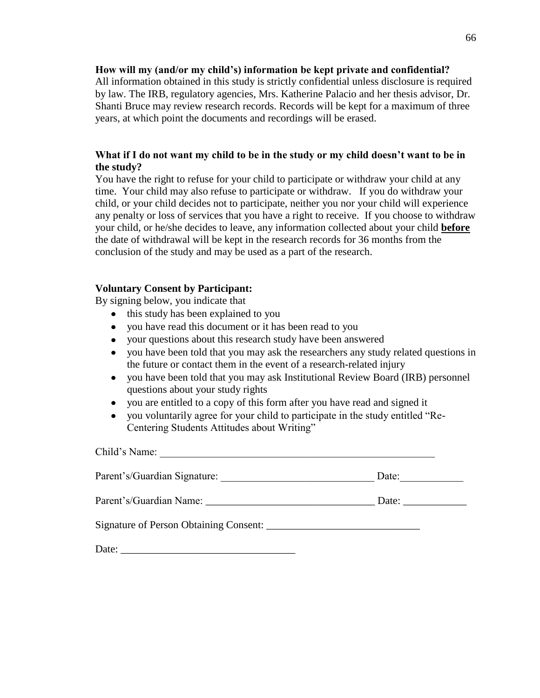### **How will my (and/or my child's) information be kept private and confidential?**

All information obtained in this study is strictly confidential unless disclosure is required by law. The IRB, regulatory agencies, Mrs. Katherine Palacio and her thesis advisor, Dr. Shanti Bruce may review research records. Records will be kept for a maximum of three years, at which point the documents and recordings will be erased.

# **What if I do not want my child to be in the study or my child doesn't want to be in the study?**

You have the right to refuse for your child to participate or withdraw your child at any time. Your child may also refuse to participate or withdraw. If you do withdraw your child, or your child decides not to participate, neither you nor your child will experience any penalty or loss of services that you have a right to receive. If you choose to withdraw your child, or he/she decides to leave, any information collected about your child **before** the date of withdrawal will be kept in the research records for 36 months from the conclusion of the study and may be used as a part of the research.

## **Voluntary Consent by Participant:**

By signing below, you indicate that

- this study has been explained to you
- you have read this document or it has been read to you
- your questions about this research study have been answered  $\bullet$
- you have been told that you may ask the researchers any study related questions in the future or contact them in the event of a research-related injury
- $\bullet$ you have been told that you may ask Institutional Review Board (IRB) personnel questions about your study rights
- you are entitled to a copy of this form after you have read and signed it  $\bullet$
- you voluntarily agree for your child to participate in the study entitled "Re- $\bullet$ Centering Students Attitudes about Writing"

Child's Name: Parent"s/Guardian Signature: \_\_\_\_\_\_\_\_\_\_\_\_\_\_\_\_\_\_\_\_\_\_\_\_\_\_\_\_\_ Date:\_\_\_\_\_\_\_\_\_\_\_\_ Parent's/Guardian Name: <br>
Date: Date: Signature of Person Obtaining Consent: Date: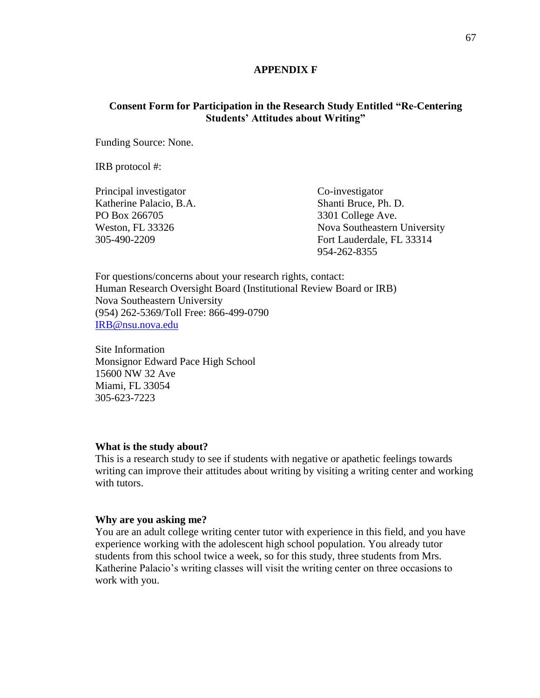### **APPENDIX F**

# **Consent Form for Participation in the Research Study Entitled "Re-Centering Students' Attitudes about Writing"**

Funding Source: None.

IRB protocol #:

Principal investigator Co-investigator Katherine Palacio, B.A. Shanti Bruce, Ph. D. PO Box 266705 3301 College Ave.

Weston, FL 33326 Nova Southeastern University 305-490-2209 Fort Lauderdale, FL 33314 954-262-8355

For questions/concerns about your research rights, contact: Human Research Oversight Board (Institutional Review Board or IRB) Nova Southeastern University (954) 262-5369/Toll Free: 866-499-0790 [IRB@nsu.nova.edu](mailto:IRB@nsu.nova.edu)

Site Information Monsignor Edward Pace High School 15600 NW 32 Ave Miami, FL 33054 305-623-7223

#### **What is the study about?**

This is a research study to see if students with negative or apathetic feelings towards writing can improve their attitudes about writing by visiting a writing center and working with tutors.

### **Why are you asking me?**

You are an adult college writing center tutor with experience in this field, and you have experience working with the adolescent high school population. You already tutor students from this school twice a week, so for this study, three students from Mrs. Katherine Palacio's writing classes will visit the writing center on three occasions to work with you.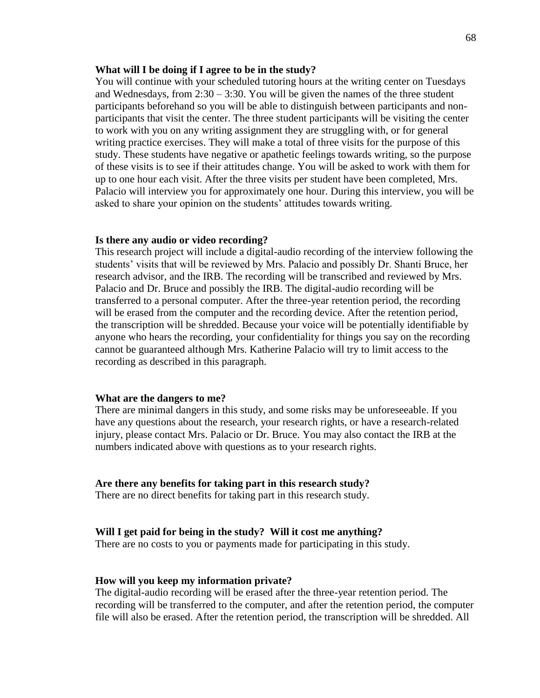### **What will I be doing if I agree to be in the study?**

You will continue with your scheduled tutoring hours at the writing center on Tuesdays and Wednesdays, from 2:30 – 3:30. You will be given the names of the three student participants beforehand so you will be able to distinguish between participants and nonparticipants that visit the center. The three student participants will be visiting the center to work with you on any writing assignment they are struggling with, or for general writing practice exercises. They will make a total of three visits for the purpose of this study. These students have negative or apathetic feelings towards writing, so the purpose of these visits is to see if their attitudes change. You will be asked to work with them for up to one hour each visit. After the three visits per student have been completed, Mrs. Palacio will interview you for approximately one hour. During this interview, you will be asked to share your opinion on the students' attitudes towards writing.

#### **Is there any audio or video recording?**

This research project will include a digital-audio recording of the interview following the students" visits that will be reviewed by Mrs. Palacio and possibly Dr. Shanti Bruce, her research advisor, and the IRB. The recording will be transcribed and reviewed by Mrs. Palacio and Dr. Bruce and possibly the IRB. The digital-audio recording will be transferred to a personal computer. After the three-year retention period, the recording will be erased from the computer and the recording device. After the retention period, the transcription will be shredded. Because your voice will be potentially identifiable by anyone who hears the recording, your confidentiality for things you say on the recording cannot be guaranteed although Mrs. Katherine Palacio will try to limit access to the recording as described in this paragraph.

### **What are the dangers to me?**

There are minimal dangers in this study, and some risks may be unforeseeable. If you have any questions about the research, your research rights, or have a research-related injury, please contact Mrs. Palacio or Dr. Bruce. You may also contact the IRB at the numbers indicated above with questions as to your research rights.

#### **Are there any benefits for taking part in this research study?**

There are no direct benefits for taking part in this research study.

### **Will I get paid for being in the study? Will it cost me anything?**

There are no costs to you or payments made for participating in this study.

## **How will you keep my information private?**

The digital-audio recording will be erased after the three-year retention period. The recording will be transferred to the computer, and after the retention period, the computer file will also be erased. After the retention period, the transcription will be shredded. All